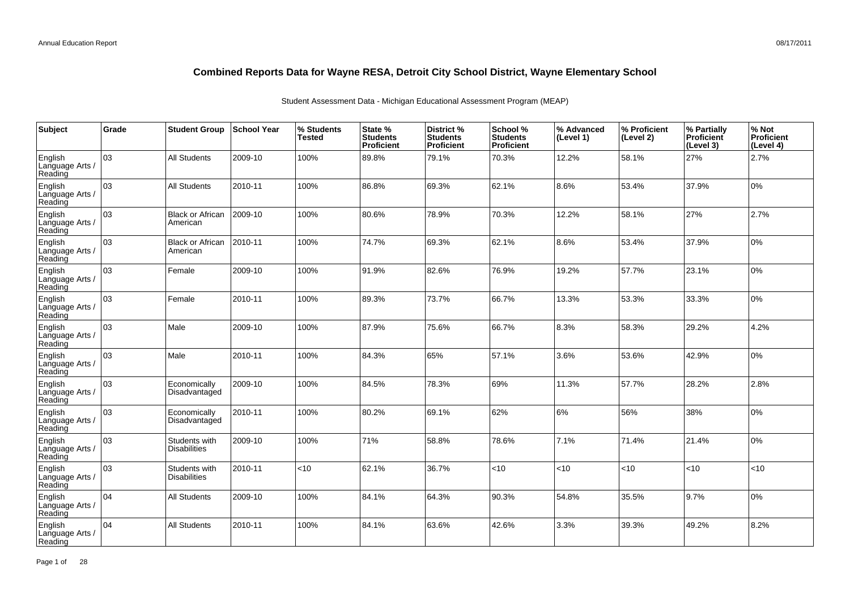| Subject                               | Grade | <b>Student Group</b>                 | <b>School Year</b> | % Students<br><b>Tested</b> | State %<br><b>Students</b><br>Proficient | <b>District %</b><br><b>Students</b><br>Proficient | School %<br><b>Students</b><br><b>Proficient</b> | % Advanced<br>(Level 1) | % Proficient<br>(Level 2) | % Partially<br><b>Proficient</b><br>(Level 3) | % Not<br>Proficient<br>(Level 4) |
|---------------------------------------|-------|--------------------------------------|--------------------|-----------------------------|------------------------------------------|----------------------------------------------------|--------------------------------------------------|-------------------------|---------------------------|-----------------------------------------------|----------------------------------|
| English<br>Language Arts /<br>Reading | 03    | All Students                         | 2009-10            | 100%                        | 89.8%                                    | 79.1%                                              | 70.3%                                            | 12.2%                   | 58.1%                     | 27%                                           | 2.7%                             |
| English<br>Language Arts /<br>Reading | lоз   | <b>All Students</b>                  | 2010-11            | 100%                        | 86.8%                                    | 69.3%                                              | 62.1%                                            | 8.6%                    | 53.4%                     | 37.9%                                         | 10%                              |
| English<br>Language Arts /<br>Reading | 03    | <b>Black or African</b><br>American  | 2009-10            | 100%                        | 80.6%                                    | 78.9%                                              | 70.3%                                            | 12.2%                   | 58.1%                     | 27%                                           | 2.7%                             |
| English<br>Language Arts /<br>Reading | оз    | <b>Black or African</b><br>American  | 2010-11            | 100%                        | 74.7%                                    | 69.3%                                              | 62.1%                                            | 8.6%                    | 53.4%                     | 37.9%                                         | 0%                               |
| English<br>Language Arts /<br>Reading | 03    | Female                               | 2009-10            | 100%                        | 91.9%                                    | 82.6%                                              | 76.9%                                            | 19.2%                   | 57.7%                     | 23.1%                                         | 0%                               |
| English<br>Language Arts /<br>Reading | 03    | Female                               | 2010-11            | 100%                        | 89.3%                                    | 73.7%                                              | 66.7%                                            | 13.3%                   | 53.3%                     | 33.3%                                         | 0%                               |
| English<br>Language Arts /<br>Reading | 03    | Male                                 | 2009-10            | 100%                        | 87.9%                                    | 75.6%                                              | 66.7%                                            | 8.3%                    | 58.3%                     | 29.2%                                         | 4.2%                             |
| English<br>Language Arts /<br>Reading | 03    | Male                                 | 2010-11            | 100%                        | 84.3%                                    | 65%                                                | 57.1%                                            | 3.6%                    | 53.6%                     | 42.9%                                         | 0%                               |
| English<br>Language Arts /<br>Reading | 03    | Economically<br>Disadvantaged        | 2009-10            | 100%                        | 84.5%                                    | 78.3%                                              | 69%                                              | 11.3%                   | 57.7%                     | 28.2%                                         | 2.8%                             |
| English<br>Language Arts /<br>Reading | 03    | Economically<br>Disadvantaged        | 2010-11            | 100%                        | 80.2%                                    | 69.1%                                              | 62%                                              | 6%                      | 56%                       | 38%                                           | 0%                               |
| English<br>Language Arts /<br>Reading | 03    | Students with<br><b>Disabilities</b> | 2009-10            | 100%                        | 71%                                      | 58.8%                                              | 78.6%                                            | 7.1%                    | 71.4%                     | 21.4%                                         | 10%                              |
| English<br>Language Arts /<br>Reading | 03    | Students with<br><b>Disabilities</b> | 2010-11            | <10                         | 62.1%                                    | 36.7%                                              | <10                                              | <10                     | <10                       | <10                                           | <10                              |
| English<br>Language Arts /<br>Reading | 104   | <b>All Students</b>                  | 2009-10            | 100%                        | 84.1%                                    | 64.3%                                              | 90.3%                                            | 54.8%                   | 35.5%                     | 9.7%                                          | 0%                               |
| English<br>Language Arts<br>Reading   | 04    | <b>All Students</b>                  | 2010-11            | 100%                        | 84.1%                                    | 63.6%                                              | 42.6%                                            | 3.3%                    | 39.3%                     | 49.2%                                         | 8.2%                             |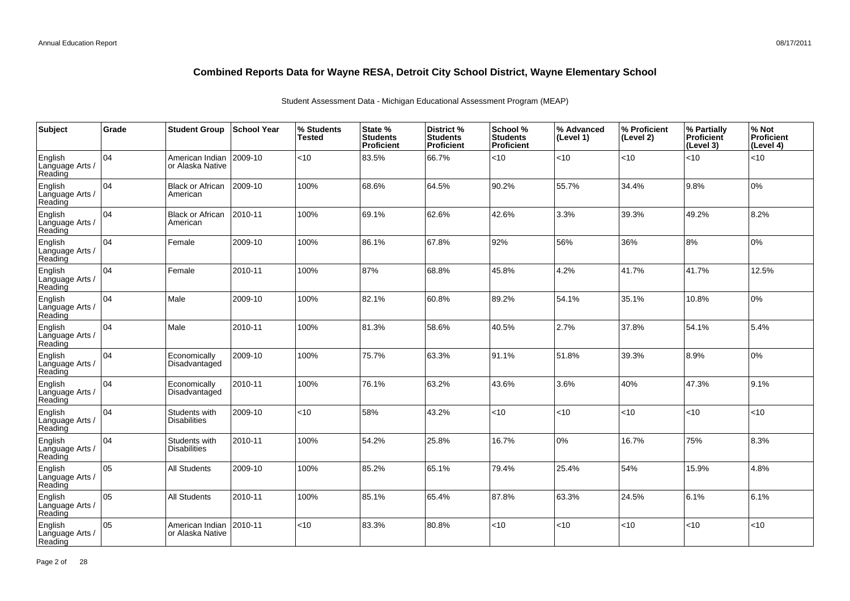| Subject                               | Grade | <b>Student Group</b>                 | <b>School Year</b> | % Students<br><b>Tested</b> | State %<br><b>Students</b><br>Proficient | <b>District %</b><br><b>Students</b><br>Proficient | School %<br><b>Students</b><br><b>Proficient</b> | % Advanced<br>(Level 1) | % Proficient<br>(Level 2) | % Partially<br><b>Proficient</b><br>(Level 3) | % Not<br>Proficient<br>(Level 4) |
|---------------------------------------|-------|--------------------------------------|--------------------|-----------------------------|------------------------------------------|----------------------------------------------------|--------------------------------------------------|-------------------------|---------------------------|-----------------------------------------------|----------------------------------|
| English<br>Language Arts /<br>Reading | 04    | American Indian<br>or Alaska Native  | 2009-10            | <10                         | 83.5%                                    | 66.7%                                              | < 10                                             | <10                     | <10                       | <10                                           | < 10                             |
| English<br>Language Arts /<br>Reading | 104   | <b>Black or African</b><br>American  | 2009-10            | 100%                        | 68.6%                                    | 64.5%                                              | 90.2%                                            | 55.7%                   | 34.4%                     | 9.8%                                          | 10%                              |
| English<br>Language Arts /<br>Reading | 104   | <b>Black or African</b><br>American  | 2010-11            | 100%                        | 69.1%                                    | 62.6%                                              | 42.6%                                            | 3.3%                    | 39.3%                     | 49.2%                                         | 8.2%                             |
| English<br>Language Arts /<br>Reading | 104   | Female                               | 2009-10            | 100%                        | 86.1%                                    | 67.8%                                              | 92%                                              | 56%                     | 36%                       | 8%                                            | 0%                               |
| English<br>Language Arts /<br>Reading | 104   | Female                               | 2010-11            | 100%                        | 87%                                      | 68.8%                                              | 45.8%                                            | 4.2%                    | 41.7%                     | 41.7%                                         | 12.5%                            |
| English<br>Language Arts /<br>Reading | 104   | Male                                 | 2009-10            | 100%                        | 82.1%                                    | 60.8%                                              | 89.2%                                            | 54.1%                   | 35.1%                     | 10.8%                                         | 0%                               |
| English<br>Language Arts /<br>Reading | 104   | Male                                 | 2010-11            | 100%                        | 81.3%                                    | 58.6%                                              | 40.5%                                            | 2.7%                    | 37.8%                     | 54.1%                                         | 5.4%                             |
| English<br>Language Arts /<br>Reading | 104   | Economically<br>Disadvantaged        | 2009-10            | 100%                        | 75.7%                                    | 63.3%                                              | 91.1%                                            | 51.8%                   | 39.3%                     | 8.9%                                          | 0%                               |
| English<br>Language Arts /<br>Reading | 104   | Economically<br>Disadvantaged        | 2010-11            | 100%                        | 76.1%                                    | 63.2%                                              | 43.6%                                            | 3.6%                    | 40%                       | 47.3%                                         | 9.1%                             |
| English<br>Language Arts /<br>Reading | 04    | Students with<br><b>Disabilities</b> | 2009-10            | < 10                        | 58%                                      | 43.2%                                              | <10                                              | <10                     | <10                       | <10                                           | <10                              |
| English<br>Language Arts /<br>Reading | 104   | Students with<br><b>Disabilities</b> | 2010-11            | 100%                        | 54.2%                                    | 25.8%                                              | 16.7%                                            | 0%                      | 16.7%                     | 75%                                           | 8.3%                             |
| English<br>Language Arts /<br>Reading | 05    | <b>All Students</b>                  | 2009-10            | 100%                        | 85.2%                                    | 65.1%                                              | 79.4%                                            | 25.4%                   | 54%                       | 15.9%                                         | 4.8%                             |
| English<br>Language Arts /<br>Reading | 05    | <b>All Students</b>                  | 2010-11            | 100%                        | 85.1%                                    | 65.4%                                              | 87.8%                                            | 63.3%                   | 24.5%                     | 6.1%                                          | 6.1%                             |
| English<br>Language Arts<br>Reading   | 05    | American Indian<br>or Alaska Native  | 2010-11            | $<$ 10                      | 83.3%                                    | 80.8%                                              | $<$ 10                                           | < 10                    | <10                       | < 10                                          | < 10                             |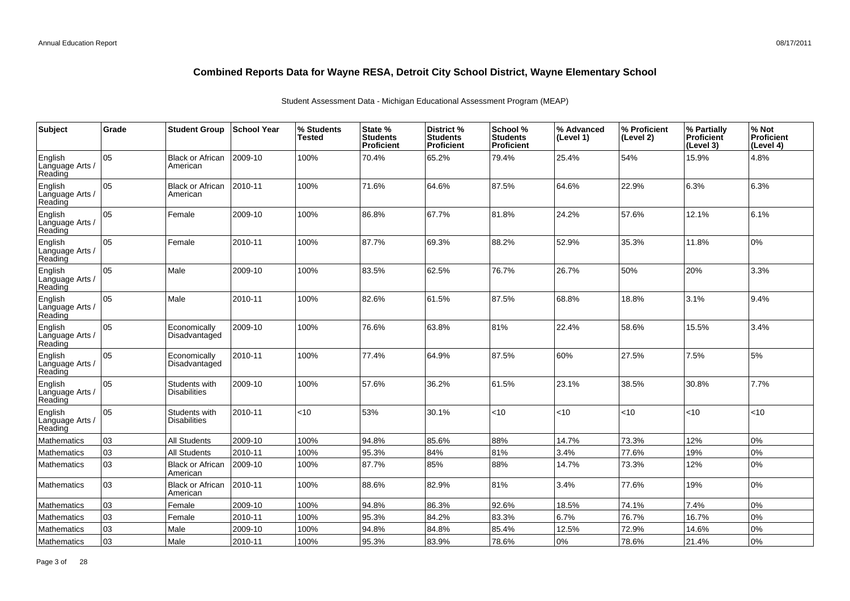| Subject                               | Grade | <b>Student Group</b>                 | School Year | % Students<br><b>Tested</b> | State %<br><b>Students</b><br>Proficient | <b>District %</b><br><b>Students</b><br><b>Proficient</b> | School %<br><b>Students</b><br><b>Proficient</b> | % Advanced<br>(Level 1) | % Proficient<br>(Level 2) | % Partially<br>Proficient<br>(Level 3) | % Not<br><b>Proficient</b><br>(Level 4) |
|---------------------------------------|-------|--------------------------------------|-------------|-----------------------------|------------------------------------------|-----------------------------------------------------------|--------------------------------------------------|-------------------------|---------------------------|----------------------------------------|-----------------------------------------|
| English<br>Language Arts /<br>Reading | 05    | <b>Black or African</b><br>American  | 2009-10     | 100%                        | 70.4%                                    | 65.2%                                                     | 79.4%                                            | 25.4%                   | 54%                       | 15.9%                                  | 4.8%                                    |
| English<br>Language Arts /<br>Reading | 05    | <b>Black or African</b><br>American  | 2010-11     | 100%                        | 71.6%                                    | 64.6%                                                     | 87.5%                                            | 64.6%                   | 22.9%                     | 6.3%                                   | 6.3%                                    |
| English<br>Language Arts /<br>Reading | 05    | Female                               | 2009-10     | 100%                        | 86.8%                                    | 67.7%                                                     | 81.8%                                            | 24.2%                   | 57.6%                     | 12.1%                                  | 6.1%                                    |
| English<br>Language Arts<br>Reading   | 05    | Female                               | 2010-11     | 100%                        | 87.7%                                    | 69.3%                                                     | 88.2%                                            | 52.9%                   | 35.3%                     | 11.8%                                  | 0%                                      |
| English<br>Language Arts<br>Reading   | 05    | Male                                 | 2009-10     | 100%                        | 83.5%                                    | 62.5%                                                     | 76.7%                                            | 26.7%                   | 50%                       | 20%                                    | 3.3%                                    |
| English<br>Language Arts<br>Reading   | 05    | Male                                 | 2010-11     | 100%                        | 82.6%                                    | 61.5%                                                     | 87.5%                                            | 68.8%                   | 18.8%                     | 3.1%                                   | 9.4%                                    |
| English<br>Language Arts<br>Reading   | 05    | Economically<br>Disadvantaged        | 2009-10     | 100%                        | 76.6%                                    | 63.8%                                                     | 81%                                              | 22.4%                   | 58.6%                     | 15.5%                                  | 3.4%                                    |
| English<br>Language Arts /<br>Reading | 05    | Economically<br>Disadvantaged        | 2010-11     | 100%                        | 77.4%                                    | 64.9%                                                     | 87.5%                                            | 60%                     | 27.5%                     | 7.5%                                   | 5%                                      |
| English<br>Language Arts /<br>Reading | 05    | Students with<br><b>Disabilities</b> | 2009-10     | 100%                        | 57.6%                                    | 36.2%                                                     | 61.5%                                            | 23.1%                   | 38.5%                     | 30.8%                                  | 7.7%                                    |
| English<br>Language Arts /<br>Reading | 05    | Students with<br><b>Disabilities</b> | 2010-11     | $<$ 10                      | 53%                                      | 30.1%                                                     | < 10                                             | <10                     | < 10                      | < 10                                   | <10                                     |
| Mathematics                           | 03    | <b>All Students</b>                  | 2009-10     | 100%                        | 94.8%                                    | 85.6%                                                     | 88%                                              | 14.7%                   | 73.3%                     | 12%                                    | 0%                                      |
| Mathematics                           | 03    | <b>All Students</b>                  | 2010-11     | 100%                        | 95.3%                                    | 84%                                                       | 81%                                              | 3.4%                    | 77.6%                     | 19%                                    | 0%                                      |
| <b>Mathematics</b>                    | 03    | <b>Black or African</b><br>American  | 2009-10     | 100%                        | 87.7%                                    | 85%                                                       | 88%                                              | 14.7%                   | 73.3%                     | 12%                                    | 0%                                      |
| <b>Mathematics</b>                    | 03    | <b>Black or African</b><br>American  | 2010-11     | 100%                        | 88.6%                                    | 82.9%                                                     | 81%                                              | 3.4%                    | 77.6%                     | 19%                                    | 0%                                      |
| Mathematics                           | 03    | Female                               | 2009-10     | 100%                        | 94.8%                                    | 86.3%                                                     | 92.6%                                            | 18.5%                   | 74.1%                     | 7.4%                                   | 0%                                      |
| <b>Mathematics</b>                    | 03    | Female                               | 2010-11     | 100%                        | 95.3%                                    | 84.2%                                                     | 83.3%                                            | 6.7%                    | 76.7%                     | 16.7%                                  | 0%                                      |
| Mathematics                           | 03    | Male                                 | 2009-10     | 100%                        | 94.8%                                    | 84.8%                                                     | 85.4%                                            | 12.5%                   | 72.9%                     | 14.6%                                  | 0%                                      |
| Mathematics                           | 03    | Male                                 | 2010-11     | 100%                        | 95.3%                                    | 83.9%                                                     | 78.6%                                            | 0%                      | 78.6%                     | 21.4%                                  | 0%                                      |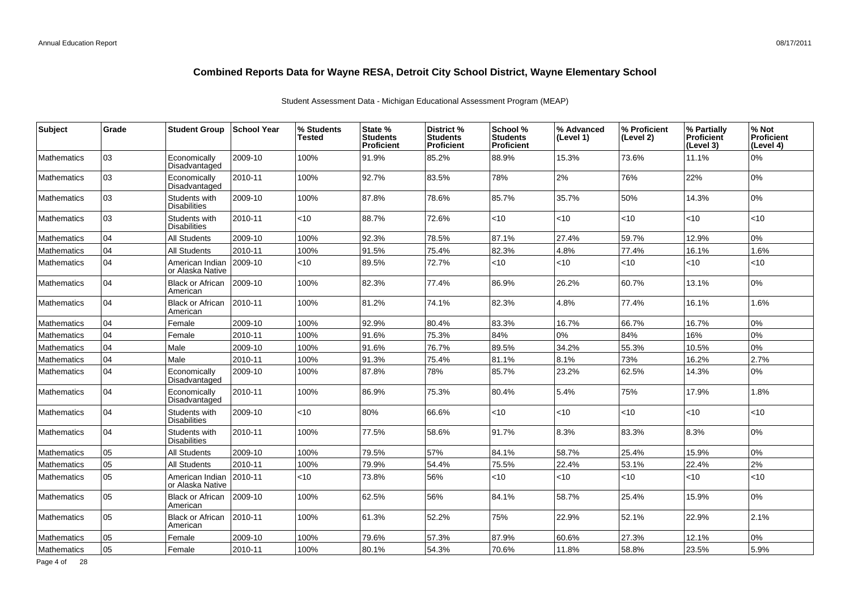| Subject            | Grade | <b>Student Group</b>                 | ∣School Year | % Students<br>Tested | State %<br><b>Students</b><br><b>Proficient</b> | <b>District %</b><br><b>Students</b><br><b>Proficient</b> | School %<br><b>Students</b><br><b>Proficient</b> | % Advanced<br>(Level 1) | % Proficient<br>(Level 2) | % Partially<br><b>Proficient</b><br>(Level 3) | % Not<br>Proficient<br>(Level 4) |
|--------------------|-------|--------------------------------------|--------------|----------------------|-------------------------------------------------|-----------------------------------------------------------|--------------------------------------------------|-------------------------|---------------------------|-----------------------------------------------|----------------------------------|
| <b>Mathematics</b> | 03    | Economically<br>Disadvantaged        | 2009-10      | 100%                 | 91.9%                                           | 85.2%                                                     | 88.9%                                            | 15.3%                   | 73.6%                     | 11.1%                                         | 0%                               |
| <b>Mathematics</b> | 03    | Economically<br>Disadvantaged        | 2010-11      | 100%                 | 92.7%                                           | 83.5%                                                     | 78%                                              | 2%                      | 76%                       | 22%                                           | 0%                               |
| <b>Mathematics</b> | 03    | Students with<br><b>Disabilities</b> | 2009-10      | 100%                 | 87.8%                                           | 78.6%                                                     | 85.7%                                            | 35.7%                   | 50%                       | 14.3%                                         | 0%                               |
| <b>Mathematics</b> | 03    | Students with<br><b>Disabilities</b> | 2010-11      | <10                  | 88.7%                                           | 72.6%                                                     | < 10                                             | <10                     | <10                       | $<10$                                         | <10                              |
| <b>Mathematics</b> | 04    | <b>All Students</b>                  | 2009-10      | 100%                 | 92.3%                                           | 78.5%                                                     | 87.1%                                            | 27.4%                   | 59.7%                     | 12.9%                                         | 0%                               |
| <b>Mathematics</b> | 04    | <b>All Students</b>                  | 2010-11      | 100%                 | 91.5%                                           | 75.4%                                                     | 82.3%                                            | 4.8%                    | 77.4%                     | 16.1%                                         | 1.6%                             |
| <b>Mathematics</b> | 04    | American Indian<br>or Alaska Native  | 2009-10      | $<$ 10               | 89.5%                                           | 72.7%                                                     | <10                                              | $<$ 10                  | $<$ 10                    | <10                                           | <10                              |
| <b>Mathematics</b> | 04    | <b>Black or African</b><br>American  | 2009-10      | 100%                 | 82.3%                                           | 77.4%                                                     | 86.9%                                            | 26.2%                   | 60.7%                     | 13.1%                                         | 0%                               |
| <b>Mathematics</b> | 04    | <b>Black or African</b><br>American  | 2010-11      | 100%                 | 81.2%                                           | 74.1%                                                     | 82.3%                                            | 4.8%                    | 77.4%                     | 16.1%                                         | 1.6%                             |
| Mathematics        | 04    | Female                               | 2009-10      | 100%                 | 92.9%                                           | 80.4%                                                     | 83.3%                                            | 16.7%                   | 66.7%                     | 16.7%                                         | 0%                               |
| <b>Mathematics</b> | 04    | Female                               | 2010-11      | 100%                 | 91.6%                                           | 75.3%                                                     | 84%                                              | 0%                      | 84%                       | 16%                                           | 0%                               |
| <b>Mathematics</b> | 04    | Male                                 | 2009-10      | 100%                 | 91.6%                                           | 76.7%                                                     | 89.5%                                            | 34.2%                   | 55.3%                     | 10.5%                                         | 0%                               |
| <b>Mathematics</b> | 04    | Male                                 | 2010-11      | 100%                 | 91.3%                                           | 75.4%                                                     | 81.1%                                            | 8.1%                    | 73%                       | 16.2%                                         | 2.7%                             |
| <b>Mathematics</b> | 04    | Economically<br>Disadvantaged        | 2009-10      | 100%                 | 87.8%                                           | 78%                                                       | 85.7%                                            | 23.2%                   | 62.5%                     | 14.3%                                         | 0%                               |
| <b>Mathematics</b> | 04    | Economically<br>Disadvantaged        | 2010-11      | 100%                 | 86.9%                                           | 75.3%                                                     | 80.4%                                            | 5.4%                    | 75%                       | 17.9%                                         | 1.8%                             |
| <b>Mathematics</b> | 04    | Students with<br><b>Disabilities</b> | 2009-10      | $<$ 10               | 80%                                             | 66.6%                                                     | $<$ 10                                           | $<$ 10                  | $<$ 10                    | < 10                                          | <10                              |
| <b>Mathematics</b> | 04    | Students with<br><b>Disabilities</b> | 2010-11      | 100%                 | 77.5%                                           | 58.6%                                                     | 91.7%                                            | 8.3%                    | 83.3%                     | 8.3%                                          | 0%                               |
| <b>Mathematics</b> | 05    | <b>All Students</b>                  | 2009-10      | 100%                 | 79.5%                                           | 57%                                                       | 84.1%                                            | 58.7%                   | 25.4%                     | 15.9%                                         | 0%                               |
| <b>Mathematics</b> | 05    | <b>All Students</b>                  | 2010-11      | 100%                 | 79.9%                                           | 54.4%                                                     | 75.5%                                            | 22.4%                   | 53.1%                     | 22.4%                                         | 2%                               |
| <b>Mathematics</b> | 05    | American Indian<br>or Alaska Native  | 2010-11      | <10                  | 73.8%                                           | 56%                                                       | <10                                              | < 10                    | $<$ 10                    | <10                                           | <10                              |
| <b>Mathematics</b> | 05    | <b>Black or African</b><br>American  | 2009-10      | 100%                 | 62.5%                                           | 56%                                                       | 84.1%                                            | 58.7%                   | 25.4%                     | 15.9%                                         | 0%                               |
| <b>Mathematics</b> | 05    | <b>Black or African</b><br>American  | 2010-11      | 100%                 | 61.3%                                           | 52.2%                                                     | 75%                                              | 22.9%                   | 52.1%                     | 22.9%                                         | 2.1%                             |
| Mathematics        | 05    | Female                               | 2009-10      | 100%                 | 79.6%                                           | 57.3%                                                     | 87.9%                                            | 60.6%                   | 27.3%                     | 12.1%                                         | 0%                               |
| Mathematics        | 05    | Female                               | 2010-11      | 100%                 | 80.1%                                           | 54.3%                                                     | 70.6%                                            | 11.8%                   | 58.8%                     | 23.5%                                         | 5.9%                             |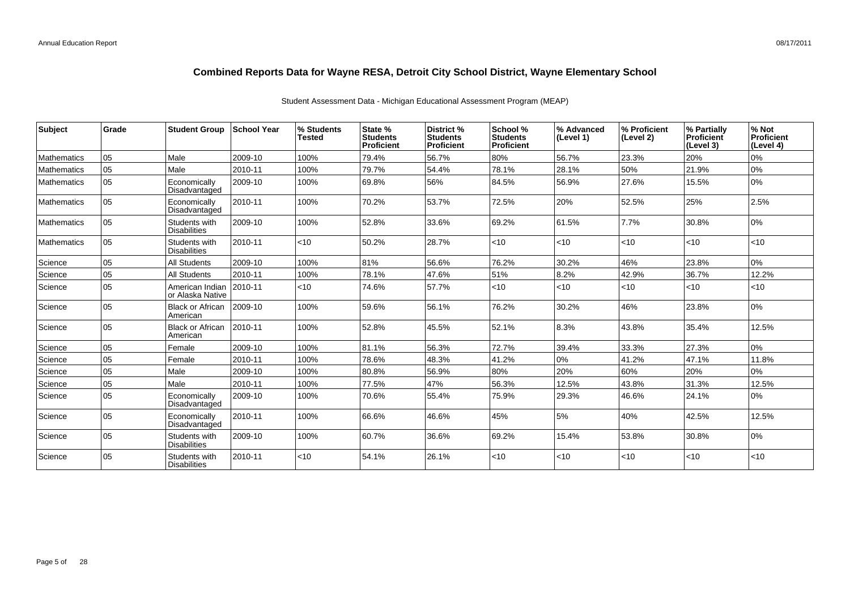| Subject            | Grade | <b>Student Group</b>                 | <b>School Year</b> | % Students<br>Tested | State %<br><b>Students</b><br>Proficient | <b>District %</b><br><b>Students</b><br>Proficient | School %<br><b>Students</b><br>Proficient | % Advanced<br>(Level 1) | % Proficient<br>(Level 2) | % Partially<br>Proficient<br>(Level 3) | % Not<br>Proficient<br>(Level 4) |
|--------------------|-------|--------------------------------------|--------------------|----------------------|------------------------------------------|----------------------------------------------------|-------------------------------------------|-------------------------|---------------------------|----------------------------------------|----------------------------------|
| <b>Mathematics</b> | 05    | Male                                 | 2009-10            | 100%                 | 79.4%                                    | 56.7%                                              | 80%                                       | 56.7%                   | 23.3%                     | 20%                                    | 0%                               |
| Mathematics        | 05    | Male                                 | 2010-11            | 100%                 | 79.7%                                    | 54.4%                                              | 78.1%                                     | 28.1%                   | 50%                       | 21.9%                                  | 0%                               |
| Mathematics        | 05    | Economically<br>Disadvantaged        | 2009-10            | 100%                 | 69.8%                                    | 56%                                                | 84.5%                                     | 56.9%                   | 27.6%                     | 15.5%                                  | $0\%$                            |
| <b>Mathematics</b> | 105   | Economically<br>Disadvantaged        | 2010-11            | 100%                 | 70.2%                                    | 53.7%                                              | 72.5%                                     | 20%                     | 52.5%                     | 25%                                    | 2.5%                             |
| Mathematics        | 05    | Students with<br><b>Disabilities</b> | 2009-10            | 100%                 | 52.8%                                    | 33.6%                                              | 69.2%                                     | 61.5%                   | 7.7%                      | 30.8%                                  | 0%                               |
| <b>Mathematics</b> | 05    | Students with<br><b>Disabilities</b> | 2010-11            | $<$ 10               | 50.2%                                    | 28.7%                                              | $<$ 10                                    | < 10                    | $<$ 10                    | $ $ < 10                               | <10                              |
| Science            | 05    | <b>All Students</b>                  | 2009-10            | 100%                 | 81%                                      | 56.6%                                              | 76.2%                                     | 30.2%                   | 46%                       | 23.8%                                  | 0%                               |
| Science            | 05    | <b>All Students</b>                  | 2010-11            | 100%                 | 78.1%                                    | 47.6%                                              | 51%                                       | 8.2%                    | 42.9%                     | 36.7%                                  | 12.2%                            |
| Science            | 05    | American Indian<br>or Alaska Native  | 2010-11            | $<$ 10               | 74.6%                                    | 57.7%                                              | $<$ 10                                    | < 10                    | $<$ 10                    | $ $ < 10                               | <10                              |
| Science            | 05    | <b>Black or African</b><br>American  | 2009-10            | 100%                 | 59.6%                                    | 56.1%                                              | 76.2%                                     | 30.2%                   | 46%                       | 23.8%                                  | 0%                               |
| Science            | 05    | <b>Black or African</b><br>American  | 2010-11            | 100%                 | 52.8%                                    | 45.5%                                              | 52.1%                                     | 8.3%                    | 43.8%                     | 35.4%                                  | 12.5%                            |
| Science            | 05    | Female                               | 2009-10            | 100%                 | 81.1%                                    | 56.3%                                              | 72.7%                                     | 39.4%                   | 33.3%                     | 27.3%                                  | 0%                               |
| Science            | 05    | Female                               | 2010-11            | 100%                 | 78.6%                                    | 48.3%                                              | 41.2%                                     | 0%                      | 41.2%                     | 47.1%                                  | 11.8%                            |
| Science            | 05    | Male                                 | 2009-10            | 100%                 | 80.8%                                    | 56.9%                                              | 80%                                       | 20%                     | 60%                       | 20%                                    | 0%                               |
| Science            | 05    | Male                                 | 2010-11            | 100%                 | 77.5%                                    | 47%                                                | 56.3%                                     | 12.5%                   | 43.8%                     | 31.3%                                  | 12.5%                            |
| Science            | 05    | Economically<br>Disadvantaged        | 2009-10            | 100%                 | 70.6%                                    | 55.4%                                              | 75.9%                                     | 29.3%                   | 46.6%                     | 24.1%                                  | 0%                               |
| Science            | 05    | Economically<br>Disadvantaged        | 2010-11            | 100%                 | 66.6%                                    | 46.6%                                              | 45%                                       | 5%                      | 40%                       | 42.5%                                  | 12.5%                            |
| Science            | 05    | Students with<br><b>Disabilities</b> | 2009-10            | 100%                 | 60.7%                                    | 36.6%                                              | 69.2%                                     | 15.4%                   | 53.8%                     | 30.8%                                  | 0%                               |
| Science            | l 05  | Students with<br><b>Disabilities</b> | 2010-11            | <10                  | 54.1%                                    | 26.1%                                              | $<$ 10                                    | < 10                    | $<$ 10                    | $ $ < 10                               | <10                              |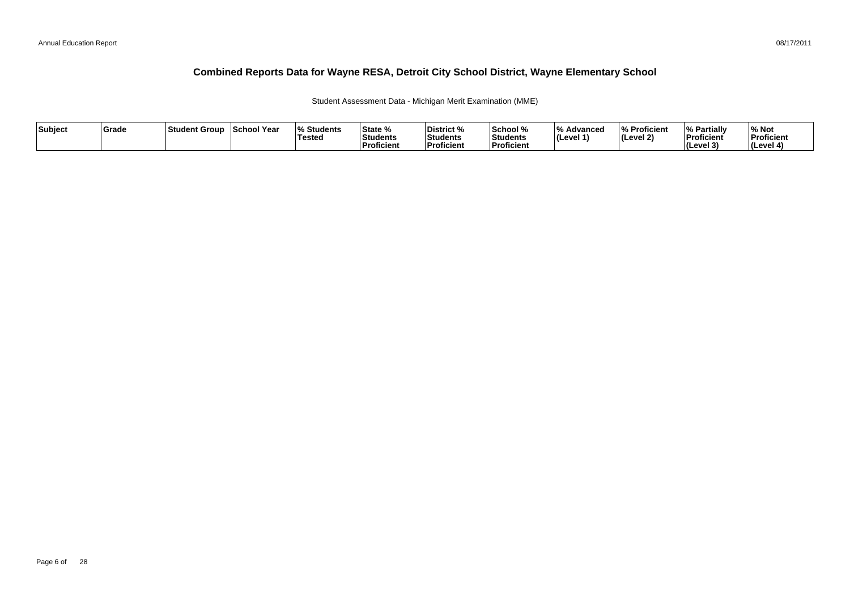Student Assessment Data - Michigan Merit Examination (MME)

| Subject | Grade | ⊺Student Group | School Year | <b>Students</b><br><b>Tested</b> | State %<br>Students<br>∣Proficient | District %<br><b>Students</b><br><b>Proficient</b> | School %<br>Students<br><b>Proficien</b> | 1 O /<br>Advanced<br>$ $ (Level 1) | % Proficient<br>(Level 2) | <sup>1</sup> % Partially<br>Proficient<br>$ $ (Level 3) | % Not<br>Proficient<br>(Level 4) |
|---------|-------|----------------|-------------|----------------------------------|------------------------------------|----------------------------------------------------|------------------------------------------|------------------------------------|---------------------------|---------------------------------------------------------|----------------------------------|
|---------|-------|----------------|-------------|----------------------------------|------------------------------------|----------------------------------------------------|------------------------------------------|------------------------------------|---------------------------|---------------------------------------------------------|----------------------------------|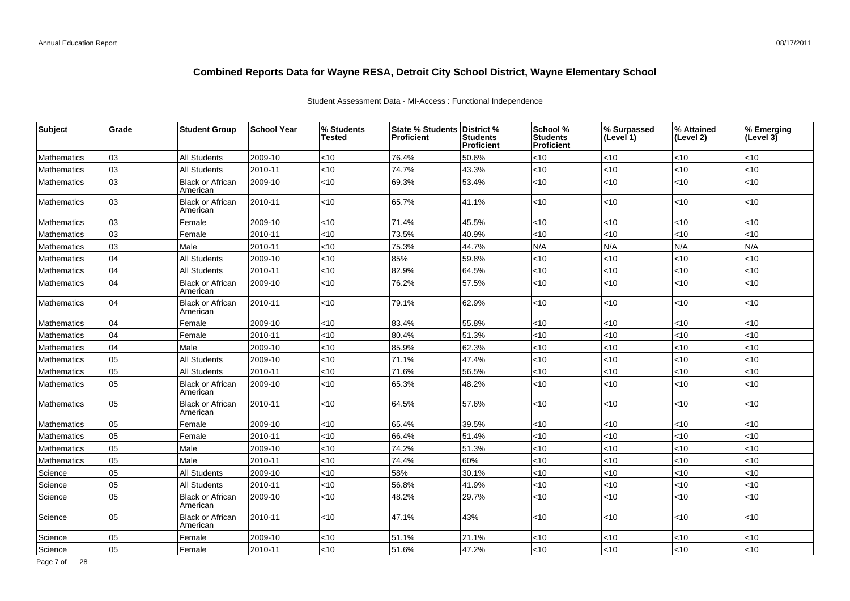### Student Assessment Data - MI-Access : Functional Independence

| Subject            | Grade | <b>Student Group</b>                | <b>School Year</b> | % Students<br><b>Tested</b> | <b>State % Students</b><br><b>Proficient</b> | District %<br>Students<br>Proficient | School %<br><b>Students</b><br><b>Proficient</b> | % Surpassed<br>(Level 1) | % Attained<br>(Level 2) | % Emerging<br>(Level 3) |
|--------------------|-------|-------------------------------------|--------------------|-----------------------------|----------------------------------------------|--------------------------------------|--------------------------------------------------|--------------------------|-------------------------|-------------------------|
| Mathematics        | 03    | <b>All Students</b>                 | 2009-10            | $<$ 10                      | 76.4%                                        | 50.6%                                | <10                                              | <10                      | <10                     | < 10                    |
| Mathematics        | 03    | All Students                        | 2010-11            | <10                         | 74.7%                                        | 43.3%                                | <10                                              | <10                      | <10                     | <10                     |
| Mathematics        | 03    | <b>Black or African</b><br>American | 2009-10            | <10                         | 69.3%                                        | 53.4%                                | <10                                              | $<10$                    | <10                     | <10                     |
| Mathematics        | 03    | <b>Black or African</b><br>American | 2010-11            | <10                         | 65.7%                                        | 41.1%                                | $<$ 10                                           | $<$ 10                   | $<$ 10                  | < 10                    |
| Mathematics        | 03    | Female                              | 2009-10            | <10                         | 71.4%                                        | 45.5%                                | $<$ 10                                           | <10                      | <10                     | $<$ 10                  |
| Mathematics        | 03    | Female                              | 2010-11            | <10                         | 73.5%                                        | 40.9%                                | <10                                              | <10                      | <10                     | < 10                    |
| Mathematics        | 03    | Male                                | 2010-11            | <10                         | 75.3%                                        | 44.7%                                | N/A                                              | N/A                      | N/A                     | N/A                     |
| Mathematics        | 04    | All Students                        | 2009-10            | <10                         | 85%                                          | 59.8%                                | <10                                              | $<10$                    | <10                     | < 10                    |
| Mathematics        | 04    | <b>All Students</b>                 | 2010-11            | <10                         | 82.9%                                        | 64.5%                                | <10                                              | $<10$                    | <10                     | < 10                    |
| Mathematics        | 04    | <b>Black or African</b><br>American | 2009-10            | <10                         | 76.2%                                        | 57.5%                                | <10                                              | $<10$                    | <10                     | <10                     |
| Mathematics        | 04    | <b>Black or African</b><br>American | 2010-11            | <10                         | 79.1%                                        | 62.9%                                | <10                                              | $<10$                    | <10                     | <10                     |
| Mathematics        | 04    | Female                              | 2009-10            | <10                         | 83.4%                                        | 55.8%                                | <10                                              | <10                      | <10                     | < 10                    |
| Mathematics        | 04    | Female                              | 2010-11            | <10                         | 80.4%                                        | 51.3%                                | <10                                              | < 10                     | <10                     | < 10                    |
| Mathematics        | 04    | Male                                | 2009-10            | <10                         | 85.9%                                        | 62.3%                                | <10                                              | < 10                     | <10                     | <10                     |
| Mathematics        | 05    | <b>All Students</b>                 | 2009-10            | <10                         | 71.1%                                        | 47.4%                                | <10                                              | <10                      | 10                      | <10                     |
| Mathematics        | 05    | All Students                        | 2010-11            | <10                         | 71.6%                                        | 56.5%                                | <10                                              | <10                      | <10                     | <10                     |
| Mathematics        | 05    | <b>Black or African</b><br>American | 2009-10            | <10                         | 65.3%                                        | 48.2%                                | <10                                              | < 10                     | <10                     | $<$ 10                  |
| Mathematics        | 05    | <b>Black or African</b><br>American | 2010-11            | <10                         | 64.5%                                        | 57.6%                                | $<$ 10                                           | $<$ 10                   | <10                     | $<$ 10                  |
| Mathematics        | 05    | Female                              | 2009-10            | <10                         | 65.4%                                        | 39.5%                                | <10                                              | <10                      | <10                     | < 10                    |
| Mathematics        | 05    | Female                              | 2010-11            | <10                         | 66.4%                                        | 51.4%                                | <10                                              | $<10$                    | <10                     | < 10                    |
| Mathematics        | 05    | Male                                | 2009-10            | <10                         | 74.2%                                        | 51.3%                                | <10                                              | < 10                     | <10                     | <10                     |
| <b>Mathematics</b> | 05    | Male                                | 2010-11            | <10                         | 74.4%                                        | 60%                                  | <10                                              | < 10                     | <10                     | <10                     |
| Science            | 05    | <b>All Students</b>                 | 2009-10            | <10                         | 58%                                          | 30.1%                                | <10                                              | < 10                     | 10                      | <10                     |
| Science            | 05    | All Students                        | 2010-11            | <10                         | 56.8%                                        | 41.9%                                | <10                                              | < 10                     | <10                     | <10                     |
| Science            | 05    | <b>Black or African</b><br>American | 2009-10            | <10                         | 48.2%                                        | 29.7%                                | <10                                              | $<$ 10                   | $<$ 10                  | $<$ 10                  |
| Science            | 05    | <b>Black or African</b><br>American | 2010-11            | <10                         | 47.1%                                        | 43%                                  | <10                                              | $<$ 10                   | <10                     | $<$ 10                  |
| Science            | 05    | Female                              | 2009-10            | <10                         | 51.1%                                        | 21.1%                                | <10                                              | < 10                     | <10                     | <10                     |
| Science            | 05    | Female                              | 2010-11            | <10                         | 51.6%                                        | 47.2%                                | <10                                              | <10                      | <10                     | $<$ 10                  |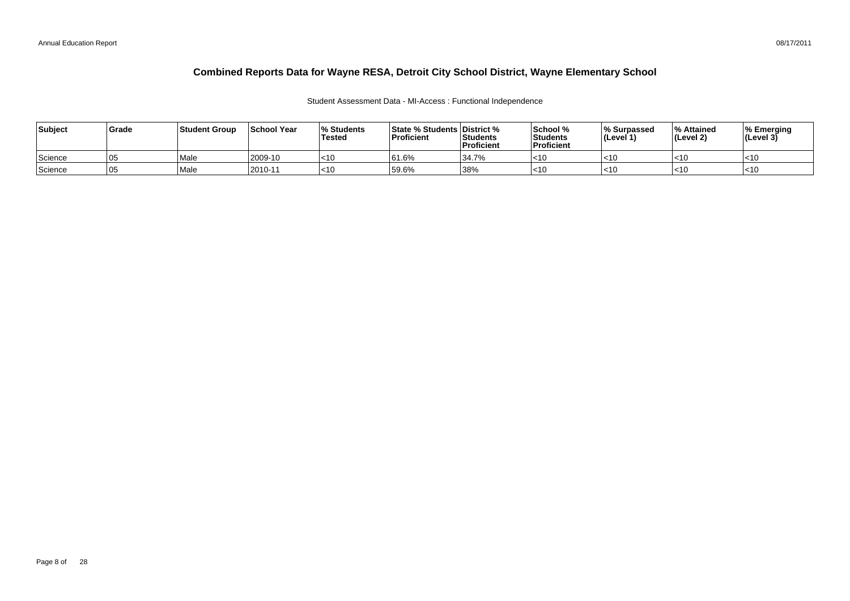### Student Assessment Data - MI-Access : Functional Independence

| Subject | Grade | Student Group | <b>School Year</b> | 0/<br>% Students<br><b>Tested</b> | <b>State % Students District %</b><br>Proficient | Students<br>Proficient | School %<br>l Students<br>Proficient | Ⅰ% Surpassed<br>l (Level 1) | O/_<br>% Attained<br>(Level 2) | % Emerging<br>(Level 3) |
|---------|-------|---------------|--------------------|-----------------------------------|--------------------------------------------------|------------------------|--------------------------------------|-----------------------------|--------------------------------|-------------------------|
| Science | 105   | Male          | 2009-10            | $\leq 10$                         | 61.6%                                            | 34.7%                  | l<10                                 | $<$ 10                      | I<10                           | $<$ 10                  |
| Science | 105   | Male          | $12010 - 1$        | $ $ < 10                          | 59.6%                                            | 38%                    | 1<1                                  | $<$ 10                      | l<10                           | $<$ 10                  |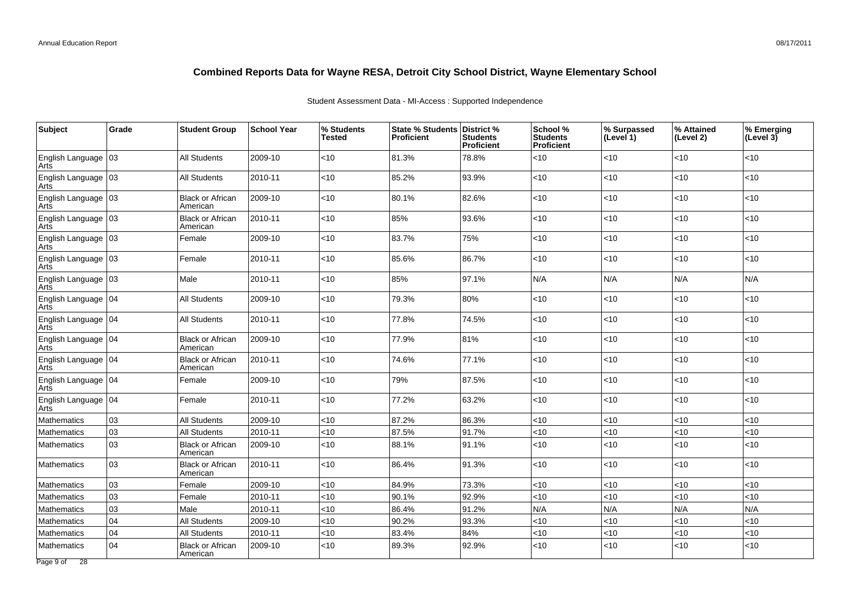## Student Assessment Data - MI-Access : Supported Independence

| Subject                       | Grade | <b>Student Group</b>                | <b>School Year</b> | % Students<br>Tested | <b>State % Students</b><br><b>Proficient</b> | District %<br><b>Students</b><br>Proficient | School %<br><b>Students</b><br>Proficient | % Surpassed<br>(Level 1) | % Attained<br>(Level 2) | % Emerging<br>(Level $3\bar{)}$ |
|-------------------------------|-------|-------------------------------------|--------------------|----------------------|----------------------------------------------|---------------------------------------------|-------------------------------------------|--------------------------|-------------------------|---------------------------------|
| English Language   03<br>Arts |       | <b>All Students</b>                 | 2009-10            | <10                  | 81.3%                                        | 78.8%                                       | $<$ 10                                    | <10                      | <10                     | <10                             |
| English Language 03<br>Arts   |       | <b>All Students</b>                 | 2010-11            | $<$ 10               | 85.2%                                        | 93.9%                                       | <10                                       | <10                      | <10                     | <10                             |
| English Language 03<br>Arts   |       | <b>Black or African</b><br>American | 2009-10            | <10                  | 80.1%                                        | 82.6%                                       | <10                                       | $<10$                    | <10                     | $<10$                           |
| English Language   03<br>Arts |       | <b>Black or African</b><br>American | 2010-11            | $<$ 10               | 85%                                          | 93.6%                                       | $<$ 10                                    | $<$ 10                   | $<$ 10                  | <10                             |
| English Language   03<br>Arts |       | Female                              | 2009-10            | $<$ 10               | 83.7%                                        | 75%                                         | <10                                       | $<$ 10                   | <10                     | < 10                            |
| English Language   03<br>Arts |       | Female                              | 2010-11            | $<$ 10               | 85.6%                                        | 86.7%                                       | <10                                       | $<$ 10                   | < 10                    | < 10                            |
| English Language   03<br>Arts |       | Male                                | 2010-11            | $<$ 10               | 85%                                          | 97.1%                                       | N/A                                       | N/A                      | N/A                     | N/A                             |
| English Language   04<br>Arts |       | All Students                        | 2009-10            | $<$ 10               | 79.3%                                        | 80%                                         | $<$ 10                                    | $<$ 10                   | $<$ 10                  | < 10                            |
| English Language   04<br>Arts |       | <b>All Students</b>                 | 2010-11            | $<$ 10               | 77.8%                                        | 74.5%                                       | $<$ 10                                    | <10                      | <10                     | <10                             |
| English Language   04<br>Arts |       | <b>Black or African</b><br>American | 2009-10            | <10                  | 77.9%                                        | 81%                                         | <10                                       | $<10$                    | $<10$                   | $<10$                           |
| English Language   04<br>Arts |       | <b>Black or African</b><br>American | 2010-11            | <10                  | 74.6%                                        | 77.1%                                       | <10                                       | $<$ 10                   | $<$ 10                  | $<$ 10                          |
| English Language   04<br>Arts |       | Female                              | 2009-10            | $<$ 10               | 79%                                          | 87.5%                                       | <10                                       | $<$ 10                   | <10                     | < 10                            |
| English Language   04<br>Arts |       | Female                              | 2010-11            | <10                  | 77.2%                                        | 63.2%                                       | $<$ 10                                    | $<$ 10                   | $ $ < 10                | < 10                            |
| Mathematics                   | 03    | <b>All Students</b>                 | 2009-10            | $<$ 10               | 87.2%                                        | 86.3%                                       | <10                                       | <10                      | $<10$                   | < 10                            |
| Mathematics                   | 03    | <b>All Students</b>                 | 2010-11            | <10                  | 87.5%                                        | 91.7%                                       | <10                                       | <10                      | <10                     | <10                             |
| Mathematics                   | 03    | <b>Black or African</b><br>American | 2009-10            | $<$ 10               | 88.1%                                        | 91.1%                                       | $<$ 10                                    | <10                      | <10                     | <10                             |
| Mathematics                   | 03    | <b>Black or African</b><br>American | 2010-11            | $<$ 10               | 86.4%                                        | 91.3%                                       | <10                                       | $<$ 10                   | $<$ 10                  | < 10                            |
| Mathematics                   | 03    | Female                              | 2009-10            | <10                  | 84.9%                                        | 73.3%                                       | <10                                       | < 10                     | $<10$                   | $<10$                           |
| Mathematics                   | 03    | Female                              | 2010-11            | <10                  | 90.1%                                        | 92.9%                                       | <10                                       | < 10                     | $<$ 10                  | <10                             |
| Mathematics                   | 03    | Male                                | 2010-11            | <10                  | 86.4%                                        | 91.2%                                       | N/A                                       | N/A                      | N/A                     | N/A                             |
| Mathematics                   | 04    | All Students                        | 2009-10            | $<$ 10               | 90.2%                                        | 93.3%                                       | <10                                       | < 10                     | <10                     | < 10                            |
| Mathematics                   | 04    | <b>All Students</b>                 | 2010-11            | <10                  | 83.4%                                        | 84%                                         | <10                                       | $<10$                    | $<10$                   | <10                             |
| Mathematics                   | 04    | <b>Black or African</b><br>American | 2009-10            | $<$ 10               | 89.3%                                        | 92.9%                                       | <10                                       | $<$ 10                   | <10                     | < 10                            |
| Page 9 of 28                  |       |                                     |                    |                      |                                              |                                             |                                           |                          |                         |                                 |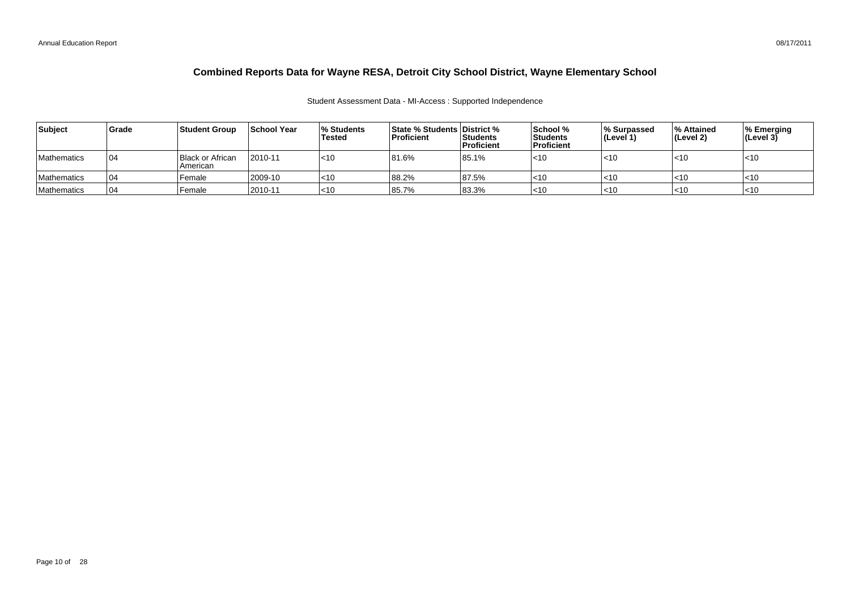### Student Assessment Data - MI-Access : Supported Independence

| Subject            | <b>Grade</b> | <b>Student Group</b>                  | <b>School Year</b> | <b>Students</b><br>Tested | <b>State % Students District %</b><br><b>Proficient</b> | <b>Students</b><br><b>Proficient</b> | School %<br>l Students<br><b>Proficient</b> | Ⅰ% Surpassed<br>(Level 1) | <b>∣% Attained</b><br>(Level 2) | ∣% Emerging<br>$ $ (Level 3) |
|--------------------|--------------|---------------------------------------|--------------------|---------------------------|---------------------------------------------------------|--------------------------------------|---------------------------------------------|---------------------------|---------------------------------|------------------------------|
| <b>Mathematics</b> | 104          | <b>Black or African</b><br>l American | 2010-11            | $ $ < 10                  | 81.6%                                                   | 85.1%                                | l<10                                        | $ $ < 10                  | $ $ < 10                        | $ $ < 10                     |
| <b>Mathematics</b> | <b>04</b>    | Female                                | 2009-10            | $\mathsf{I}$ <10          | 88.2%                                                   | 87.5%                                | l<10                                        | ∣<10                      | l<10                            | l<10                         |
| Mathematics        | 104          | Female                                | 2010-11            | $ $ < 10                  | 85.7%                                                   | 83.3%                                | l<10                                        | ∣<10                      | $\leq 10$                       | l<10                         |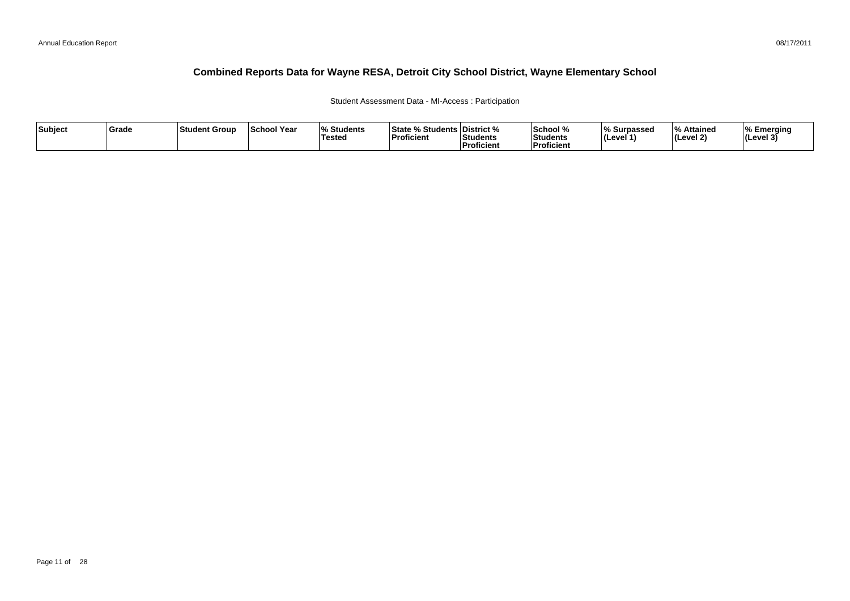### Student Assessment Data - MI-Access : Participation

| Subject | Grade | ∣Student Group | <b>School Year</b> | 07.<br>Students<br>Tested | <sup>৹⁄</sup> Students ∟<br><b>State</b><br>'Proficient | <b>District</b> %<br>Students<br><sup>'</sup> Proficient | School %<br>Students<br>--<br>Proficient | ∧ Surpassed<br>⊺(Level ′ | ہ Attained<br>Level 2) | % Emerging<br>$ $ (Level 3) |
|---------|-------|----------------|--------------------|---------------------------|---------------------------------------------------------|----------------------------------------------------------|------------------------------------------|--------------------------|------------------------|-----------------------------|
|---------|-------|----------------|--------------------|---------------------------|---------------------------------------------------------|----------------------------------------------------------|------------------------------------------|--------------------------|------------------------|-----------------------------|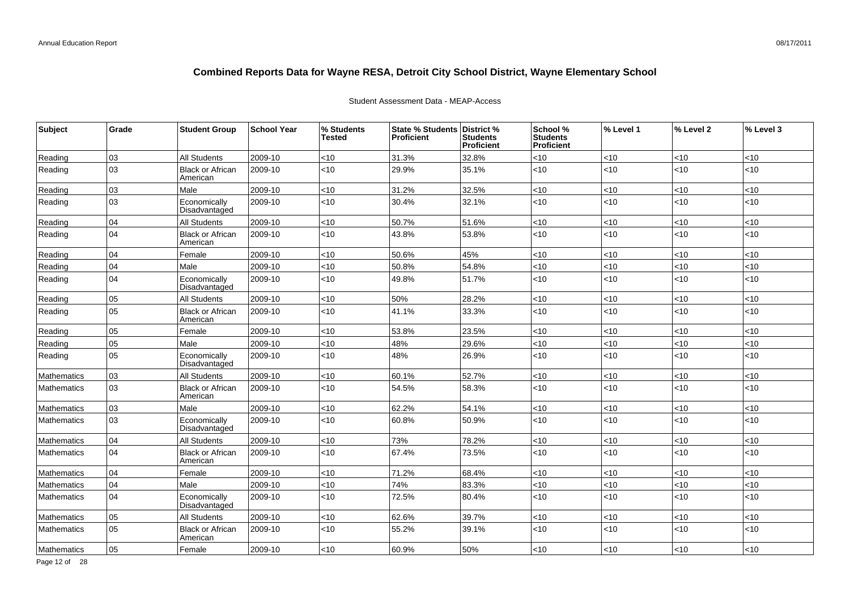| Subject            | Grade | <b>Student Group</b>                | <b>School Year</b> | % Students<br><b>Tested</b> | State % Students District %<br><b>Proficient</b> | <b>Students</b><br>Proficient | School %<br>Students<br>Proficient | % Level 1 | % Level 2 | % Level 3 |
|--------------------|-------|-------------------------------------|--------------------|-----------------------------|--------------------------------------------------|-------------------------------|------------------------------------|-----------|-----------|-----------|
| Reading            | 03    | <b>All Students</b>                 | 2009-10            | <10                         | 31.3%                                            | 32.8%                         | <10                                | <10       | <10       | <10       |
| Reading            | 03    | <b>Black or African</b><br>American | 2009-10            | < 10                        | 29.9%                                            | 35.1%                         | < 10                               | <10       | $<$ 10    | <10       |
| Reading            | 03    | Male                                | 2009-10            | <10                         | 31.2%                                            | 32.5%                         | < 10                               | <10       | $<$ 10    | < 10      |
| Reading            | 03    | Economically<br>Disadvantaged       | 2009-10            | <10                         | 30.4%                                            | 32.1%                         | $<10$                              | <10       | <10       | <10       |
| Reading            | 04    | <b>All Students</b>                 | 2009-10            | < 10                        | 50.7%                                            | 51.6%                         | < 10                               | < 10      | <10       | < 10      |
| Reading            | 04    | <b>Black or African</b><br>American | 2009-10            | <10                         | 43.8%                                            | 53.8%                         | <10                                | <10       | <10       | <10       |
| Reading            | 04    | Female                              | 2009-10            | <10                         | 50.6%                                            | 45%                           | $<$ 10                             | <10       | $<$ 10    | < 10      |
| Reading            | 04    | Male                                | 2009-10            | < 10                        | 50.8%                                            | 54.8%                         | < 10                               | <10       | <10       | < 10      |
| Reading            | 04    | Economically<br>Disadvantaged       | 2009-10            | <10                         | 49.8%                                            | 51.7%                         | < 10                               | <10       | <10       | < 10      |
| Reading            | 05    | <b>All Students</b>                 | 2009-10            | <10                         | 50%                                              | 28.2%                         | <10                                | <10       | <10       | < 10      |
| Reading            | 05    | <b>Black or African</b><br>American | 2009-10            | < 10                        | 41.1%                                            | 33.3%                         | $<$ 10                             | <10       | $<$ 10    | < 10      |
| Reading            | 05    | Female                              | 2009-10            | <10                         | 53.8%                                            | 23.5%                         | <10                                | <10       | $<$ 10    | < 10      |
| Reading            | 05    | Male                                | 2009-10            | < 10                        | 48%                                              | 29.6%                         | < 10                               | <10       | $<$ 10    | <10       |
| Reading            | 05    | Economically<br>Disadvantaged       | 2009-10            | <10                         | 48%                                              | 26.9%                         | < 10                               | <10       | <10       | < 10      |
| Mathematics        | 03    | <b>All Students</b>                 | 2009-10            | < 10                        | 60.1%                                            | 52.7%                         | < 10                               | <10       | <10       | < 10      |
| Mathematics        | 03    | <b>Black or African</b><br>American | 2009-10            | < 10                        | 54.5%                                            | 58.3%                         | < 10                               | <10       | $<$ 10    | < 10      |
| <b>Mathematics</b> | 03    | Male                                | 2009-10            | < 10                        | 62.2%                                            | 54.1%                         | < 10                               | < 10      | <10       | < 10      |
| Mathematics        | 03    | Economically<br>Disadvantaged       | 2009-10            | < 10                        | 60.8%                                            | 50.9%                         | < 10                               | <10       | <10       | < 10      |
| Mathematics        | 04    | All Students                        | 2009-10            | < 10                        | 73%                                              | 78.2%                         | < 10                               | <10       | $<$ 10    | < 10      |
| Mathematics        | 04    | <b>Black or African</b><br>American | 2009-10            | < 10                        | 67.4%                                            | 73.5%                         | $<10$                              | <10       | <10       | $<10$     |
| Mathematics        | 04    | Female                              | 2009-10            | <10                         | 71.2%                                            | 68.4%                         | <10                                | <10       | $<$ 10    | <10       |
| Mathematics        | 04    | Male                                | 2009-10            | < 10                        | 74%                                              | 83.3%                         | < 10                               | <10       | <10       | < 10      |
| Mathematics        | 04    | Economically<br>Disadvantaged       | 2009-10            | < 10                        | 72.5%                                            | 80.4%                         | < 10                               | <10       | <10       | < 10      |
| Mathematics        | 05    | All Students                        | 2009-10            | < 10                        | 62.6%                                            | 39.7%                         | <10                                | <10       | <10       | <10       |
| Mathematics        | 05    | <b>Black or African</b><br>American | 2009-10            | <10                         | 55.2%                                            | 39.1%                         | < 10                               | <10       | <10       | $<10$     |
| Mathematics        | 05    | Female                              | 2009-10            | <10                         | 60.9%                                            | 50%                           | < 10                               | <10       | <10       | < 10      |

### Student Assessment Data - MEAP-Access

Page 12 of 28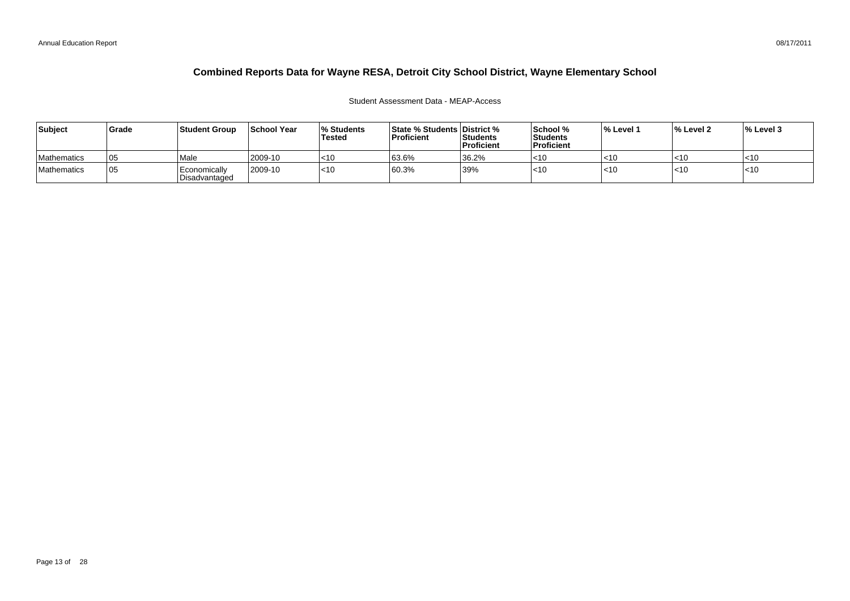## Student Assessment Data - MEAP-Access

| Subject            | Grade | <b>Student Group</b>                       | School Year | <b>Students</b><br><b>Tested</b> | <b>State % Students District %</b><br>Proficient | Students<br>Proficient | School %<br>Students<br>Proficient | l% Level 1 | ∣% Level 2 | $\%$ Level 3 |
|--------------------|-------|--------------------------------------------|-------------|----------------------------------|--------------------------------------------------|------------------------|------------------------------------|------------|------------|--------------|
| <b>Mathematics</b> | 105   | <sup>'</sup> Male                          | 2009-10     | $ $ < 10                         | 63.6%                                            | 36.2%                  | $ $ <10                            |            | l<10       | I<10         |
| Mathematics        | 05    | Economically<br><sup>I</sup> Disadvantaged | 2009-10     | $ $ < 10                         | 60.3%                                            | 39%                    | l<10                               | 5 I U      | $ $ < 10   | $\leq 10$    |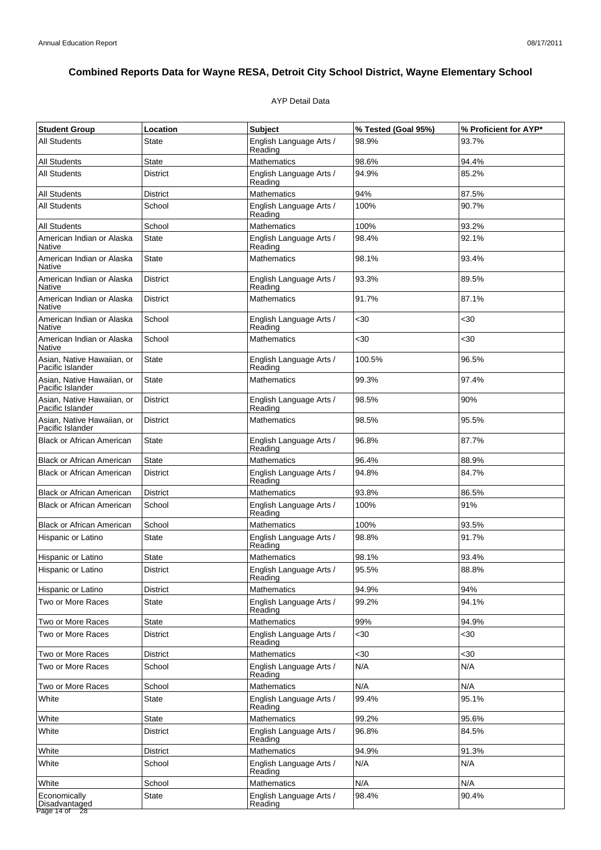## AYP Detail Data

| <b>Student Group</b>                               | Location        | <b>Subject</b>                     | % Tested (Goal 95%) | % Proficient for AYP* |
|----------------------------------------------------|-----------------|------------------------------------|---------------------|-----------------------|
| All Students                                       | State           | English Language Arts /<br>Reading | 98.9%               | 93.7%                 |
| <b>All Students</b>                                | <b>State</b>    | Mathematics                        | 98.6%               | 94.4%                 |
| <b>All Students</b>                                | <b>District</b> | English Language Arts /<br>Reading | 94.9%               | 85.2%                 |
| <b>All Students</b>                                | <b>District</b> | Mathematics                        | 94%                 | 87.5%                 |
| All Students                                       | School          | English Language Arts /<br>Reading | 100%                | 90.7%                 |
| <b>All Students</b>                                | School          | Mathematics                        | 100%                | 93.2%                 |
| American Indian or Alaska<br>Native                | <b>State</b>    | English Language Arts /<br>Reading | 98.4%               | 92.1%                 |
| American Indian or Alaska<br>Native                | <b>State</b>    | <b>Mathematics</b>                 | 98.1%               | 93.4%                 |
| American Indian or Alaska<br>Native                | <b>District</b> | English Language Arts /<br>Reading | 93.3%               | 89.5%                 |
| American Indian or Alaska<br>Native                | <b>District</b> | <b>Mathematics</b>                 | 91.7%               | 87.1%                 |
| American Indian or Alaska<br>Native                | School          | English Language Arts /<br>Reading | $30$                | <30                   |
| American Indian or Alaska<br>Native                | School          | Mathematics                        | $30$                | $30$                  |
| Asian, Native Hawaiian, or<br>Pacific Islander     | <b>State</b>    | English Language Arts /<br>Reading | 100.5%              | 96.5%                 |
| Asian, Native Hawaiian, or<br>Pacific Islander     | <b>State</b>    | <b>Mathematics</b>                 | 99.3%               | 97.4%                 |
| Asian, Native Hawaiian, or<br>Pacific Islander     | <b>District</b> | English Language Arts /<br>Reading | 98.5%               | 90%                   |
| Asian, Native Hawaiian, or<br>Pacific Islander     | <b>District</b> | <b>Mathematics</b>                 | 98.5%               | 95.5%                 |
| <b>Black or African American</b>                   | State           | English Language Arts /<br>Reading | 96.8%               | 87.7%                 |
| <b>Black or African American</b>                   | State           | Mathematics                        | 96.4%               | 88.9%                 |
| <b>Black or African American</b>                   | <b>District</b> | English Language Arts /<br>Reading | 94.8%               | 84.7%                 |
| <b>Black or African American</b>                   | District        | <b>Mathematics</b>                 | 93.8%               | 86.5%                 |
| <b>Black or African American</b>                   | School          | English Language Arts /<br>Reading | 100%                | 91%                   |
| <b>Black or African American</b>                   | School          | Mathematics                        | 100%                | 93.5%                 |
| Hispanic or Latino                                 | <b>State</b>    | English Language Arts /<br>Reading | 98.8%               | 91.7%                 |
| Hispanic or Latino                                 | State           | <b>Mathematics</b>                 | 98.1%               | 93.4%                 |
| Hispanic or Latino                                 | <b>District</b> | English Language Arts /<br>Reading | 95.5%               | 88.8%                 |
| Hispanic or Latino                                 | <b>District</b> | <b>Mathematics</b>                 | 94.9%               | 94%                   |
| Two or More Races                                  | State           | English Language Arts /<br>Reading | 99.2%               | 94.1%                 |
| Two or More Races                                  | <b>State</b>    | Mathematics                        | 99%                 | 94.9%                 |
| Two or More Races                                  | <b>District</b> | English Language Arts /<br>Reading | $30$                | <30                   |
| Two or More Races                                  | <b>District</b> | <b>Mathematics</b>                 | $30$                | $30$                  |
| Two or More Races                                  | School          | English Language Arts /<br>Reading | N/A                 | N/A                   |
| Two or More Races                                  | School          | <b>Mathematics</b>                 | N/A                 | N/A                   |
| White                                              | <b>State</b>    | English Language Arts /<br>Reading | 99.4%               | 95.1%                 |
| White                                              | <b>State</b>    | Mathematics                        | 99.2%               | 95.6%                 |
| White                                              | <b>District</b> | English Language Arts /<br>Reading | 96.8%               | 84.5%                 |
| White                                              | <b>District</b> | <b>Mathematics</b>                 | 94.9%               | 91.3%                 |
| White                                              | School          | English Language Arts /<br>Reading | N/A                 | N/A                   |
| White                                              | School          | <b>Mathematics</b>                 | N/A                 | N/A                   |
| Economically<br>Disadvantaged<br>Page 14 of<br>-28 | <b>State</b>    | English Language Arts /<br>Reading | 98.4%               | 90.4%                 |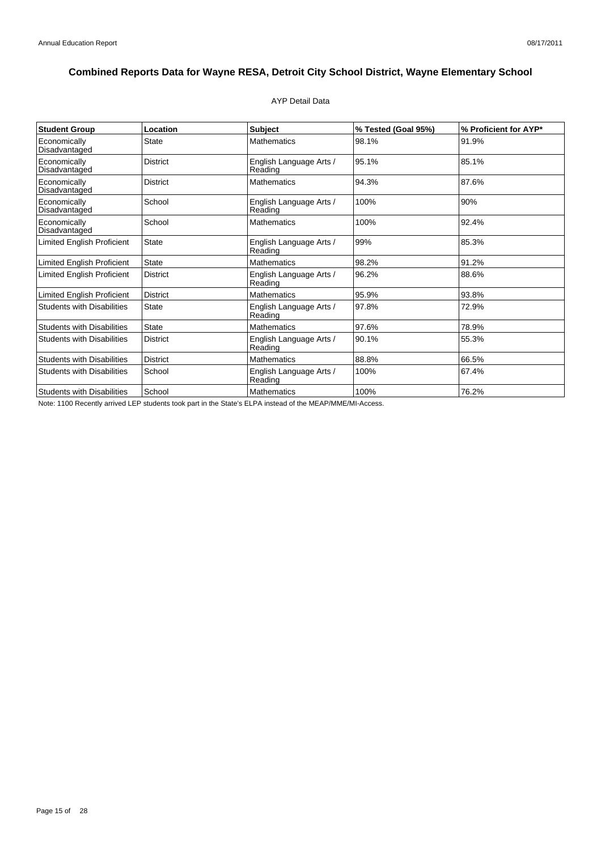## AYP Detail Data

| <b>Student Group</b>              | Location        | <b>Subject</b>                     | % Tested (Goal 95%) | % Proficient for AYP* |
|-----------------------------------|-----------------|------------------------------------|---------------------|-----------------------|
| Economically<br>Disadvantaged     | <b>State</b>    | <b>Mathematics</b>                 | 98.1%               | 91.9%                 |
| Economically<br>Disadvantaged     | <b>District</b> | English Language Arts /<br>Reading | 95.1%               | 85.1%                 |
| Economically<br>Disadvantaged     | <b>District</b> | <b>Mathematics</b>                 | 94.3%               | 87.6%                 |
| Economically<br>Disadvantaged     | School          | English Language Arts /<br>Reading | 100%                | 90%                   |
| Economically<br>Disadvantaged     | School          | <b>Mathematics</b>                 | 100%                | 92.4%                 |
| <b>Limited English Proficient</b> | State           | English Language Arts /<br>Reading | 99%                 | 85.3%                 |
| <b>Limited English Proficient</b> | <b>State</b>    | <b>Mathematics</b>                 | 98.2%               | 91.2%                 |
| <b>Limited English Proficient</b> | <b>District</b> | English Language Arts /<br>Reading | 96.2%               | 88.6%                 |
| <b>Limited English Proficient</b> | <b>District</b> | <b>Mathematics</b>                 | 95.9%               | 93.8%                 |
| <b>Students with Disabilities</b> | <b>State</b>    | English Language Arts /<br>Reading | 97.8%               | 72.9%                 |
| <b>Students with Disabilities</b> | State           | <b>Mathematics</b>                 | 97.6%               | 78.9%                 |
| <b>Students with Disabilities</b> | <b>District</b> | English Language Arts /<br>Reading | 90.1%               | 55.3%                 |
| <b>Students with Disabilities</b> | <b>District</b> | <b>Mathematics</b>                 | 88.8%               | 66.5%                 |
| <b>Students with Disabilities</b> | School          | English Language Arts /<br>Reading | 100%                | 67.4%                 |
| <b>Students with Disabilities</b> | School          | <b>Mathematics</b>                 | 100%                | 76.2%                 |

Note: 1100 Recently arrived LEP students took part in the State's ELPA instead of the MEAP/MME/MI-Access.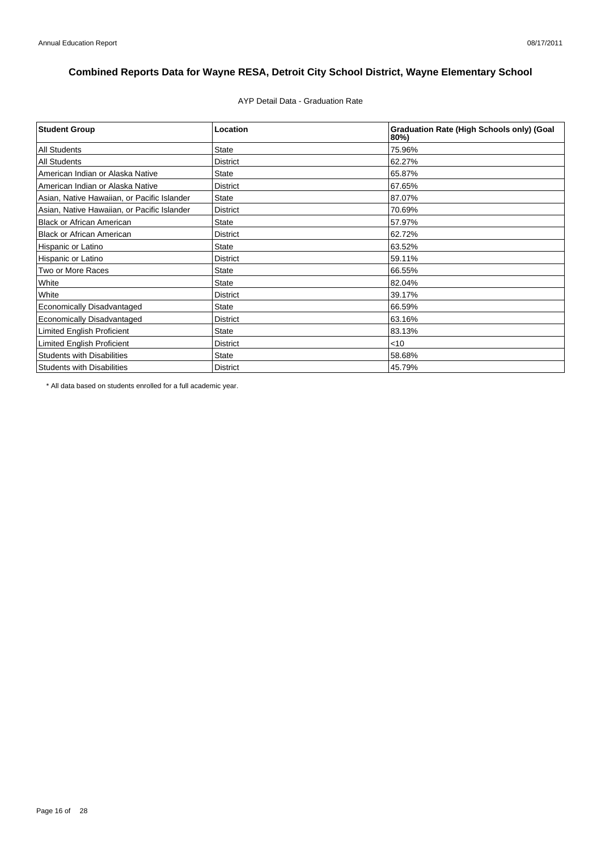AYP Detail Data - Graduation Rate

| <b>Student Group</b>                        | Location        | <b>Graduation Rate (High Schools only) (Goal</b><br>80%) |
|---------------------------------------------|-----------------|----------------------------------------------------------|
| <b>All Students</b>                         | <b>State</b>    | 75.96%                                                   |
| <b>All Students</b>                         | <b>District</b> | 62.27%                                                   |
| American Indian or Alaska Native            | <b>State</b>    | 65.87%                                                   |
| American Indian or Alaska Native            | <b>District</b> | 67.65%                                                   |
| Asian, Native Hawaiian, or Pacific Islander | <b>State</b>    | 87.07%                                                   |
| Asian, Native Hawaiian, or Pacific Islander | <b>District</b> | 70.69%                                                   |
| <b>Black or African American</b>            | <b>State</b>    | 57.97%                                                   |
| <b>Black or African American</b>            | <b>District</b> | 62.72%                                                   |
| Hispanic or Latino                          | <b>State</b>    | 63.52%                                                   |
| Hispanic or Latino                          | <b>District</b> | 59.11%                                                   |
| Two or More Races                           | <b>State</b>    | 66.55%                                                   |
| White                                       | <b>State</b>    | 82.04%                                                   |
| White                                       | <b>District</b> | 39.17%                                                   |
| Economically Disadvantaged                  | <b>State</b>    | 66.59%                                                   |
| <b>Economically Disadvantaged</b>           | <b>District</b> | 63.16%                                                   |
| <b>Limited English Proficient</b>           | <b>State</b>    | 83.13%                                                   |
| <b>Limited English Proficient</b>           | <b>District</b> | $<$ 10                                                   |
| <b>Students with Disabilities</b>           | <b>State</b>    | 58.68%                                                   |
| <b>Students with Disabilities</b>           | <b>District</b> | 45.79%                                                   |

\* All data based on students enrolled for a full academic year.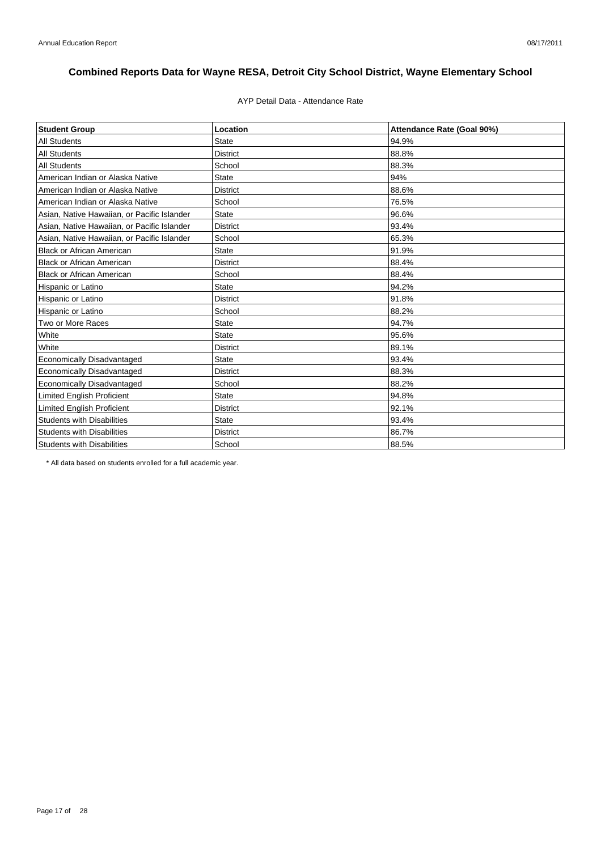## AYP Detail Data - Attendance Rate

| <b>Student Group</b>                        | Location        | Attendance Rate (Goal 90%) |
|---------------------------------------------|-----------------|----------------------------|
| <b>All Students</b>                         | <b>State</b>    | 94.9%                      |
| <b>All Students</b>                         | <b>District</b> | 88.8%                      |
| <b>All Students</b>                         | School          | 88.3%                      |
| American Indian or Alaska Native            | <b>State</b>    | 94%                        |
| American Indian or Alaska Native            | <b>District</b> | 88.6%                      |
| American Indian or Alaska Native            | School          | 76.5%                      |
| Asian, Native Hawaiian, or Pacific Islander | <b>State</b>    | 96.6%                      |
| Asian, Native Hawaiian, or Pacific Islander | <b>District</b> | 93.4%                      |
| Asian, Native Hawaiian, or Pacific Islander | School          | 65.3%                      |
| <b>Black or African American</b>            | State           | 91.9%                      |
| <b>Black or African American</b>            | <b>District</b> | 88.4%                      |
| <b>Black or African American</b>            | School          | 88.4%                      |
| Hispanic or Latino                          | <b>State</b>    | 94.2%                      |
| Hispanic or Latino                          | <b>District</b> | 91.8%                      |
| Hispanic or Latino                          | School          | 88.2%                      |
| Two or More Races                           | <b>State</b>    | 94.7%                      |
| White                                       | <b>State</b>    | 95.6%                      |
| White                                       | <b>District</b> | 89.1%                      |
| <b>Economically Disadvantaged</b>           | <b>State</b>    | 93.4%                      |
| <b>Economically Disadvantaged</b>           | <b>District</b> | 88.3%                      |
| Economically Disadvantaged                  | School          | 88.2%                      |
| Limited English Proficient                  | <b>State</b>    | 94.8%                      |
| <b>Limited English Proficient</b>           | <b>District</b> | 92.1%                      |
| <b>Students with Disabilities</b>           | State           | 93.4%                      |
| <b>Students with Disabilities</b>           | <b>District</b> | 86.7%                      |
| <b>Students with Disabilities</b>           | School          | 88.5%                      |

\* All data based on students enrolled for a full academic year.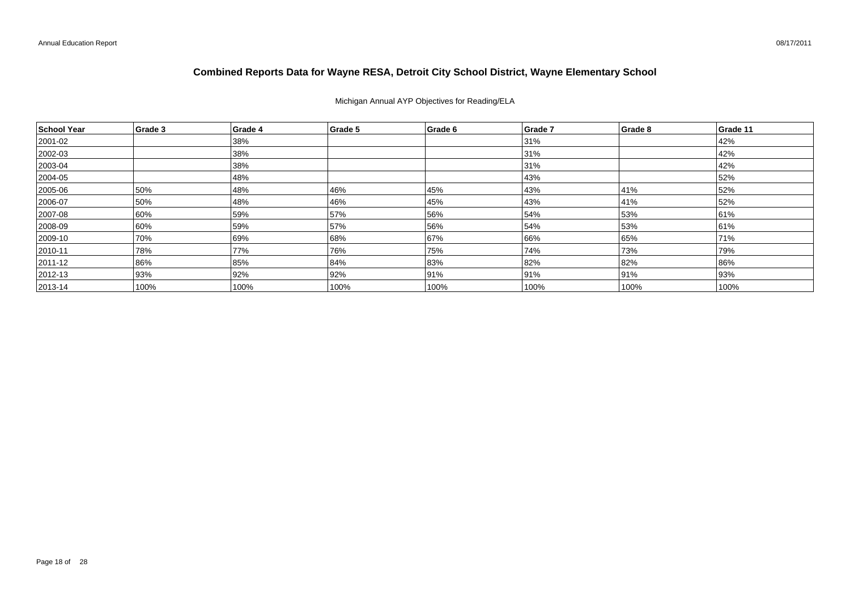Michigan Annual AYP Objectives for Reading/ELA

| School Year   | Grade 3 | Grade 4 | Grade 5 | Grade 6 | Grade 7 | Grade 8 | Grade 11 |
|---------------|---------|---------|---------|---------|---------|---------|----------|
| 2001-02       |         | 38%     |         |         | 31%     |         | 42%      |
| 2002-03       |         | 38%     |         |         | 31%     |         | 42%      |
| 2003-04       |         | 38%     |         |         | 31%     |         | 42%      |
| 2004-05       |         | 48%     |         |         | 43%     |         | 52%      |
| 2005-06       | 50%     | 48%     | 46%     | 45%     | 43%     | 41%     | 52%      |
| 2006-07       | 50%     | 48%     | 46%     | 45%     | 43%     | 41%     | 52%      |
| 2007-08       | 60%     | 59%     | 57%     | 56%     | 54%     | 53%     | 61%      |
| 2008-09       | 60%     | 59%     | 57%     | 56%     | 54%     | 53%     | 61%      |
| 2009-10       | 70%     | 69%     | 68%     | 67%     | 66%     | 65%     | 71%      |
| $ 2010 - 11$  | 78%     | 77%     | 76%     | 75%     | 74%     | 73%     | 79%      |
| $ 2011 - 12 $ | 86%     | 85%     | 84%     | 83%     | 82%     | 82%     | 86%      |
| $ 2012 - 13 $ | 93%     | 92%     | 92%     | 91%     | 91%     | 91%     | 93%      |
| $ 2013 - 14 $ | 100%    | 100%    | 100%    | 100%    | 100%    | 100%    | 100%     |

08/17/2011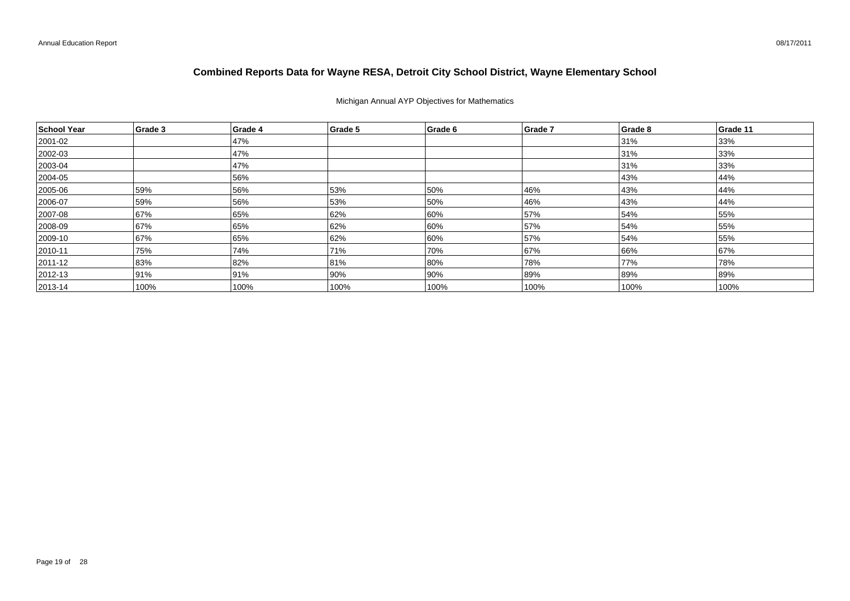## Michigan Annual AYP Objectives for Mathematics

| School Year  | Grade 3 | Grade 4 | Grade 5 | Grade 6 | Grade 7 | Grade 8 | Grade 11 |
|--------------|---------|---------|---------|---------|---------|---------|----------|
| 2001-02      |         | 47%     |         |         |         | 31%     | 33%      |
| 2002-03      |         | 47%     |         |         |         | 31%     | 33%      |
| $ 2003 - 04$ |         | 47%     |         |         |         | 31%     | 33%      |
| 2004-05      |         | 56%     |         |         |         | 43%     | 44%      |
| 2005-06      | 59%     | 56%     | 53%     | 50%     | 46%     | 43%     | 44%      |
| 2006-07      | 59%     | 56%     | 53%     | 50%     | 46%     | 43%     | 44%      |
| 2007-08      | 67%     | 65%     | 62%     | 60%     | 57%     | 54%     | 55%      |
| 2008-09      | 67%     | 65%     | 62%     | 60%     | 57%     | 54%     | 55%      |
| 2009-10      | 67%     | 65%     | 62%     | 60%     | 57%     | 54%     | 55%      |
| $ 2010 - 11$ | 75%     | 74%     | 71%     | 70%     | 67%     | 66%     | 67%      |
| 2011-12      | 83%     | 82%     | 81%     | 80%     | 78%     | 77%     | 78%      |
| $ 2012 - 13$ | 91%     | 91%     | 90%     | 90%     | 89%     | 89%     | 89%      |
| $ 2013 - 14$ | 100%    | 100%    | 100%    | 100%    | 100%    | 100%    | 100%     |

08/17/2011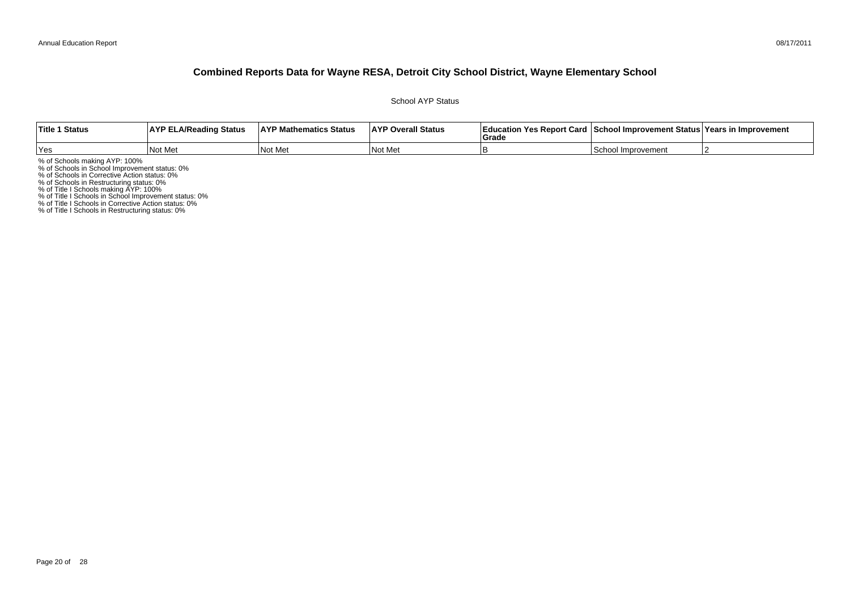School AYP Status

| <b>Title 1 Status</b> | <b>AYP ELA/Reading Status</b> | <b>AYP Mathematics Status</b> | <b>AYP Overall Status</b> | Education Yes Report Card   School Improvement Status   Years in Improvement<br>Grad |             |  |
|-----------------------|-------------------------------|-------------------------------|---------------------------|--------------------------------------------------------------------------------------|-------------|--|
| Yes                   | Not Met                       | Not Met                       | Not Me                    |                                                                                      | Improvement |  |

% of Schools making AYP: 100%<br>% of Schools in School Improvement status: 0%<br>% of Schools in Corrective Action status: 0%<br>% of Schools in Restructuring status: 0%<br>% of Title I Schools in School Improvement status: 0%<br>% of T

% of Title I Schools in Restructuring status: 0%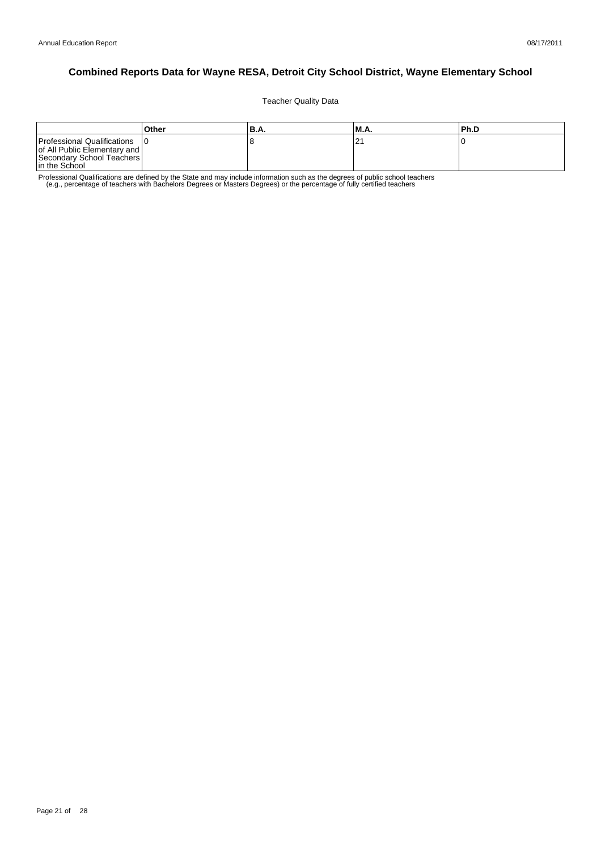Teacher Quality Data

|                                                                                                           | Other | 'B.A. | M.A.  | l Ph.D |
|-----------------------------------------------------------------------------------------------------------|-------|-------|-------|--------|
| Professional Qualifications<br>of All Public Elementary and<br>Secondary School Teachers<br>In the School |       | č     | ، ے . |        |

Professional Qualifications are defined by the State and may include information such as the degrees of public school teachers<br>e.g., percentage of teachers with Bachelors Degrees or Masters Degrees) or the percentage of fu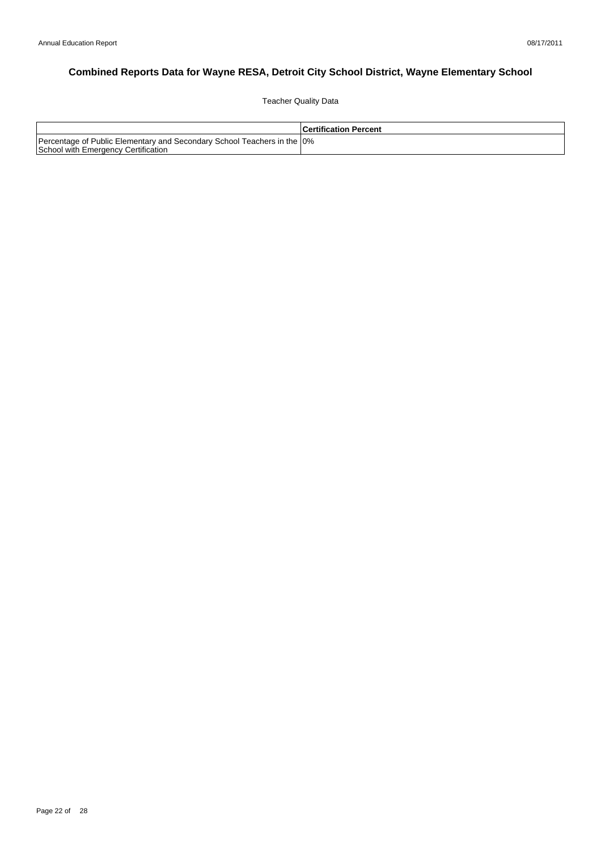Teacher Quality Data

|                                                                                                                 | l Certification Percent |
|-----------------------------------------------------------------------------------------------------------------|-------------------------|
| Percentage of Public Elementary and Secondary School Teachers in the 10%<br>School with Emergency Certification |                         |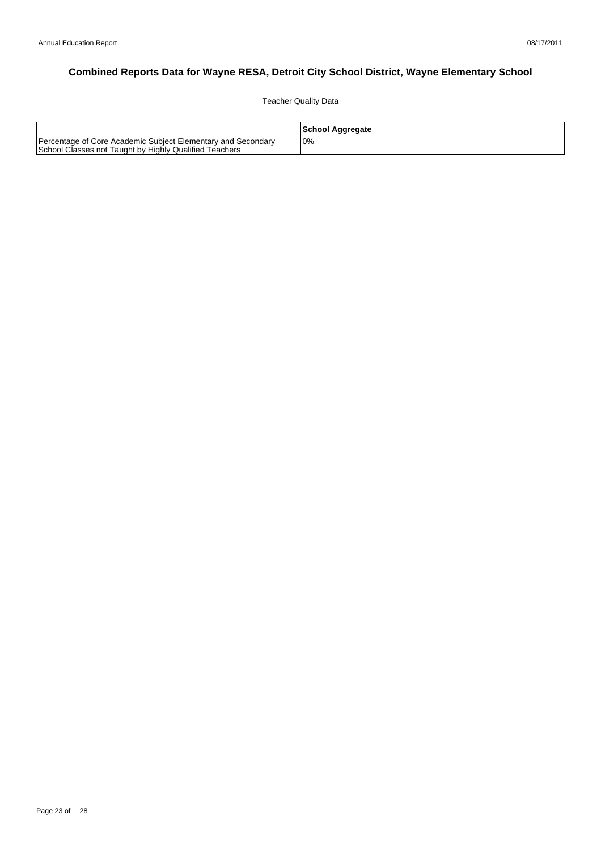Teacher Quality Data

|                                                                                                                        | School Aggregate |
|------------------------------------------------------------------------------------------------------------------------|------------------|
| Percentage of Core Academic Subject Elementary and Secondary<br>School Classes not Taught by Highly Qualified Teachers | 0%               |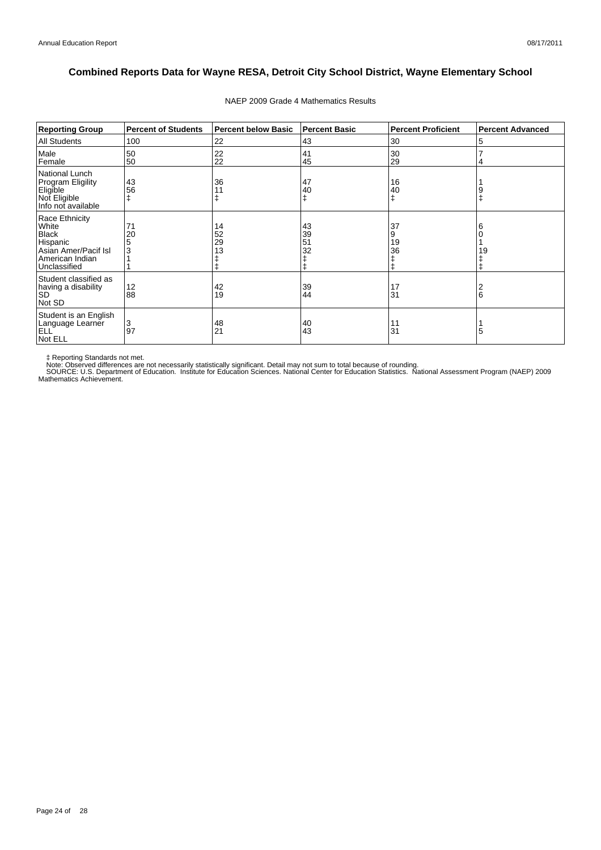| <b>Reporting Group</b>                                                                                  | <b>Percent of Students</b> | <b>Percent below Basic</b> | <b>Percent Basic</b> | <b>Percent Proficient</b> | <b>Percent Advanced</b> |
|---------------------------------------------------------------------------------------------------------|----------------------------|----------------------------|----------------------|---------------------------|-------------------------|
| <b>All Students</b>                                                                                     | 100                        | 22                         | 43                   | 30                        | 5                       |
| Male<br>Female                                                                                          | 50<br>50                   | 22<br>22                   | 41<br>45             | 30<br>29                  | 4                       |
| National Lunch<br>Program Eligility<br>Eligible<br>Not Eligible<br>Info not available                   | 43<br>56                   | 36                         | 47<br>40<br>ŧ        | 16<br>40<br>ŧ             | 9<br>ŧ                  |
| Race Ethnicity<br>White<br>Black<br>Hispanic<br>Asian Amer/Pacif Isl<br>American Indian<br>Unclassified | 71<br>20<br>5<br>3         | 14<br>52<br>29<br>13       | 43<br>39<br>51<br>32 | 37<br>9<br>19<br>36<br>ŧ  | 6<br>19                 |
| Student classified as<br>having a disability<br><b>SD</b><br>Not SD                                     | 12<br>88                   | 42<br>19                   | 39<br>44             | 17<br>31                  | 2<br>6                  |
| Student is an English<br>Language Learner<br><b>ELL</b><br>Not ELL                                      | 3<br>97                    | 48<br>21                   | 40<br>43             | 11<br>31                  | 5                       |

### NAEP 2009 Grade 4 Mathematics Results

‡ Reporting Standards not met.<br>Note: Observed differences are not necessarily statistically significant. Detail may not sum to total because of rounding.<br>SOURCE: U.S. Department of Education. Institute for Education Scien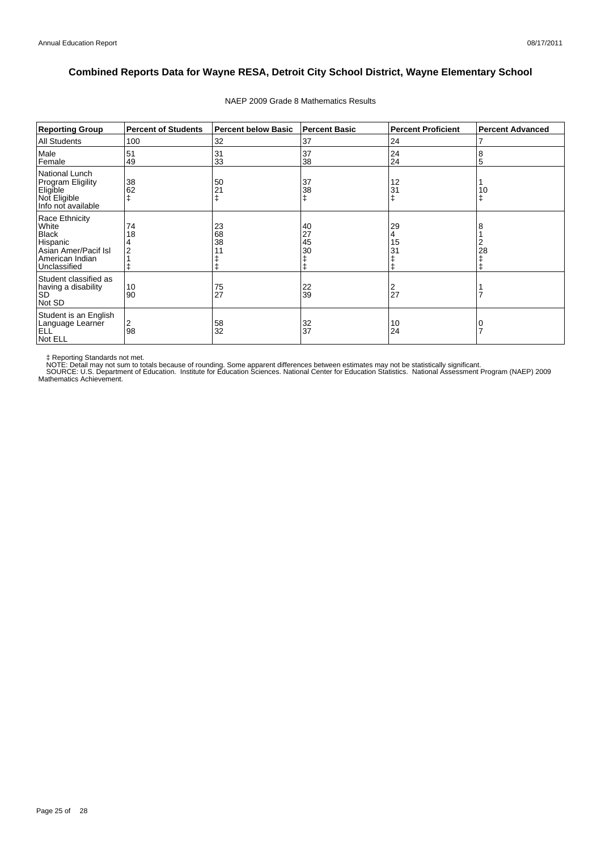| <b>Reporting Group</b>                                                                                         | <b>Percent of Students</b> | <b>Percent below Basic</b> | <b>Percent Basic</b> | <b>Percent Proficient</b> | <b>Percent Advanced</b> |
|----------------------------------------------------------------------------------------------------------------|----------------------------|----------------------------|----------------------|---------------------------|-------------------------|
| <b>All Students</b>                                                                                            | 100                        | 32                         | 37                   | 24                        |                         |
| Male<br>Female                                                                                                 | 51<br>49                   | 31<br>33                   | 37<br>38             | 24<br>24                  | 8<br>5                  |
| National Lunch<br>Program Eligility<br>Eligible<br>Not Eligible<br>Info not available                          | 38<br>62                   | 50                         | 37<br>38             | 12<br>31                  | 10<br>ŧ                 |
| Race Ethnicity<br>White<br><b>Black</b><br>Hispanic<br>Asian Amer/Pacif Isl<br>American Indian<br>Unclassified | 74<br>18                   | 23<br>68<br>38             | 40<br>27<br>45<br>30 | 29<br>4<br>15<br>31       | 8<br>28                 |
| Student classified as<br>having a disability<br><b>SD</b><br>Not SD                                            | 10<br>90                   | 75<br>27                   | $\frac{22}{39}$      | 2<br>27                   |                         |
| Student is an English<br>Language Learner<br><b>ELL</b><br>Not ELL                                             | 2<br>98                    | 58<br>32                   | 32<br>37             | 10<br>24                  |                         |

#### NAEP 2009 Grade 8 Mathematics Results

‡ Reporting Standards not met.<br>NOTE: Detail may not sum to totals because of rounding. Some apparent differences between estimates may not be statistically significant.<br>NOTE: Detail may not sum to totals because of roundin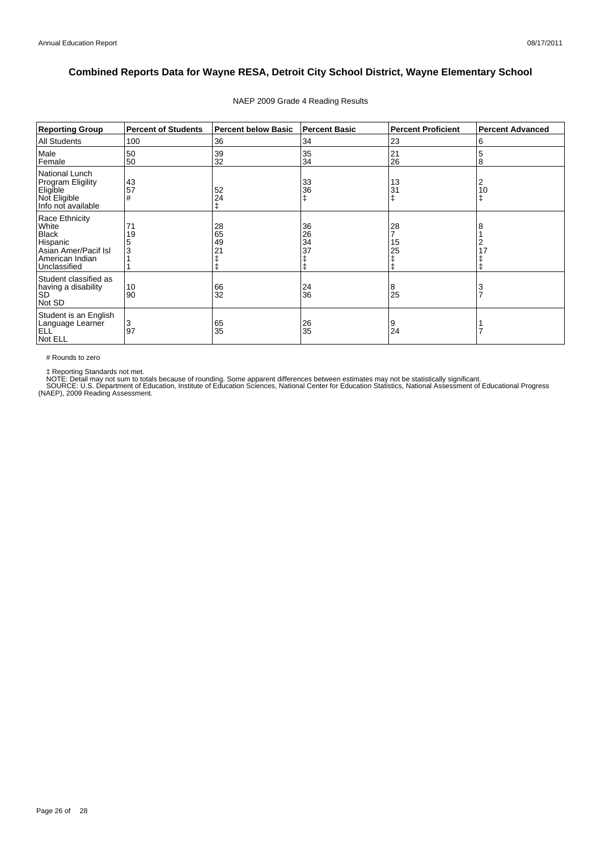| <b>Reporting Group</b>                                                                                         | <b>Percent of Students</b> | <b>Percent below Basic</b> | <b>Percent Basic</b> | <b>Percent Proficient</b> | <b>Percent Advanced</b> |
|----------------------------------------------------------------------------------------------------------------|----------------------------|----------------------------|----------------------|---------------------------|-------------------------|
| <b>All Students</b>                                                                                            | 100                        | 36                         | 34                   | 23                        | 6                       |
| Male<br>Female                                                                                                 | 50<br>50                   | 39<br>32                   | 35<br>34             | 21<br>26                  | 5<br>8                  |
| National Lunch<br>Program Eligility<br>Eligible<br>Not Eligible<br>Info not available                          | 43<br>57<br>#              | 52<br>24                   | 33<br>36<br>ŧ        | 13<br>31                  | 2<br>10<br>ŧ            |
| Race Ethnicity<br>White<br><b>Black</b><br>Hispanic<br>Asian Amer/Pacif Isl<br>American Indian<br>Unclassified | 71<br>19<br>5<br>3         | 28<br>65<br>49             | 36<br>26<br>34<br>37 | 28<br>15<br>25            | 8<br>17                 |
| Student classified as<br>having a disability<br><b>SD</b><br>Not SD                                            | 10<br>90                   | 66<br>32                   | 24<br>36             | 8<br>25                   | 3<br>$\overline{7}$     |
| Student is an English<br>Language Learner<br><b>ELL</b><br>Not ELL                                             | 3<br>97                    | 65<br>35                   | $\frac{26}{35}$      | 9<br>24                   |                         |

### NAEP 2009 Grade 4 Reading Results

# Rounds to zero

‡ Reporting Standards not met.<br>NOTE: Detail may not sum to totals because of rounding. Some apparent differences between estimates may not be statistically significant.<br>SOURCE: U.S. Department of Education, Institute of Ed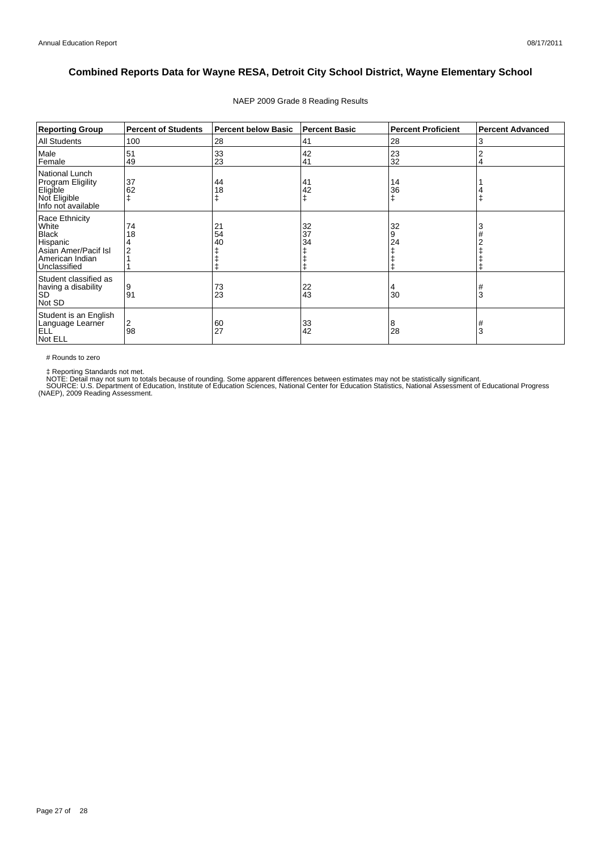| <b>Reporting Group</b>                                                                                         | <b>Percent of Students</b> | <b>Percent below Basic</b> | <b>Percent Basic</b> | <b>Percent Proficient</b> | <b>Percent Advanced</b> |
|----------------------------------------------------------------------------------------------------------------|----------------------------|----------------------------|----------------------|---------------------------|-------------------------|
| All Students                                                                                                   | 100                        | 28                         | 41                   | 28                        | 3                       |
| Male<br>Female                                                                                                 | 51<br>49                   | 33<br>23                   | 42<br>41             | 23<br>32                  | 2<br>4                  |
| National Lunch<br><b>Program Eligility</b><br>Eligible<br>Not Eligible<br>Info not available                   | 37<br>62                   | 44<br>18                   | 41<br>42<br>ŧ        | 14<br>36                  |                         |
| Race Ethnicity<br>White<br><b>Black</b><br>Hispanic<br>Asian Amer/Pacif Isl<br>American Indian<br>Unclassified | 74<br>18                   | 21<br>54<br>40             | 32<br>37<br>34       | 32<br>9<br>24             | 3                       |
| Student classified as<br>having a disability<br><b>SD</b><br>Not SD                                            | 9<br>91                    | 73<br>23                   | 22<br>43             | 4<br>30                   | #<br>3                  |
| Student is an English<br>Language Learner<br>ELL <sup>'</sup><br>Not ELL                                       | 2<br>98                    | 60<br>27                   | 33<br>42             | 8<br>28                   | #<br>3                  |

### NAEP 2009 Grade 8 Reading Results

# Rounds to zero

‡ Reporting Standards not met.<br>NOTE: Detail may not sum to totals because of rounding. Some apparent differences between estimates may not be statistically significant.<br>SOURCE: U.S. Department of Education, Institute of Ed